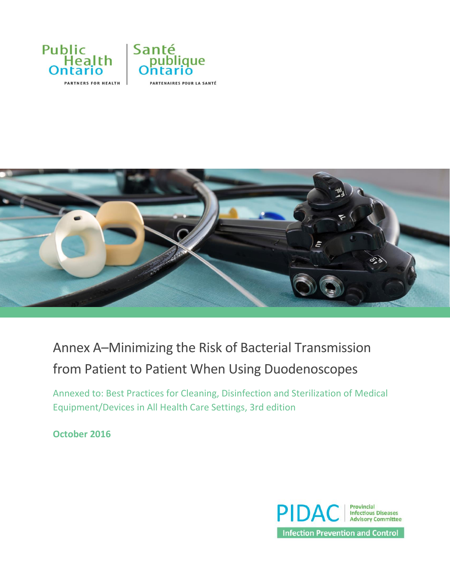



# Annex A–Minimizing the Risk of Bacterial Transmission from Patient to Patient When Using Duodenoscopes

Annexed to: Best Practices for Cleaning, Disinfection and Sterilization of Medical Equipment/Devices in All Health Care Settings, 3rd edition

**October 2016**

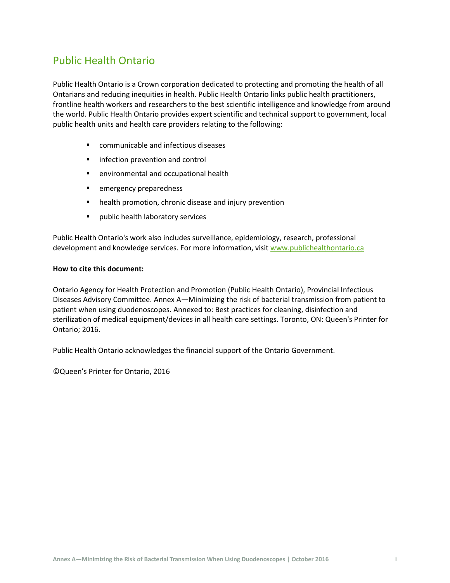## Public Health Ontario

Public Health Ontario is a Crown corporation dedicated to protecting and promoting the health of all Ontarians and reducing inequities in health. Public Health Ontario links public health practitioners, frontline health workers and researchers to the best scientific intelligence and knowledge from around the world. Public Health Ontario provides expert scientific and technical support to government, local public health units and health care providers relating to the following:

- communicable and infectious diseases
- **Infection prevention and control**
- environmental and occupational health
- **EXECUTE:** emergency preparedness
- **•** health promotion, chronic disease and injury prevention
- **Part of the public health laboratory services**

Public Health Ontario's work also includes surveillance, epidemiology, research, professional development and knowledge services. For more information, visit [www.publichealthontario.ca](http://www.publichealthontario.ca/)

#### **How to cite this document:**

Ontario Agency for Health Protection and Promotion (Public Health Ontario), Provincial Infectious Diseases Advisory Committee. Annex A—Minimizing the risk of bacterial transmission from patient to patient when using duodenoscopes. Annexed to: Best practices for cleaning, disinfection and sterilization of medical equipment/devices in all health care settings. Toronto, ON: Queen's Printer for Ontario; 2016.

Public Health Ontario acknowledges the financial support of the Ontario Government.

©Queen's Printer for Ontario, 2016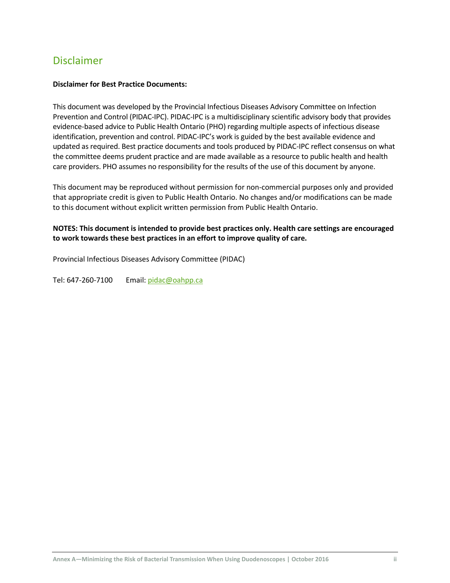## Disclaimer

#### **Disclaimer for Best Practice Documents:**

This document was developed by the Provincial Infectious Diseases Advisory Committee on Infection Prevention and Control (PIDAC-IPC). PIDAC-IPC is a multidisciplinary scientific advisory body that provides evidence-based advice to Public Health Ontario (PHO) regarding multiple aspects of infectious disease identification, prevention and control. PIDAC-IPC's work is guided by the best available evidence and updated as required. Best practice documents and tools produced by PIDAC-IPC reflect consensus on what the committee deems prudent practice and are made available as a resource to public health and health care providers. PHO assumes no responsibility for the results of the use of this document by anyone.

This document may be reproduced without permission for non-commercial purposes only and provided that appropriate credit is given to Public Health Ontario. No changes and/or modifications can be made to this document without explicit written permission from Public Health Ontario.

#### **NOTES: This document is intended to provide best practices only. Health care settings are encouraged to work towards these best practices in an effort to improve quality of care.**

Provincial Infectious Diseases Advisory Committee (PIDAC)

Tel: 647-260-7100 Email: [pidac@oahpp.ca](mailto:pidac@oahpp.ca)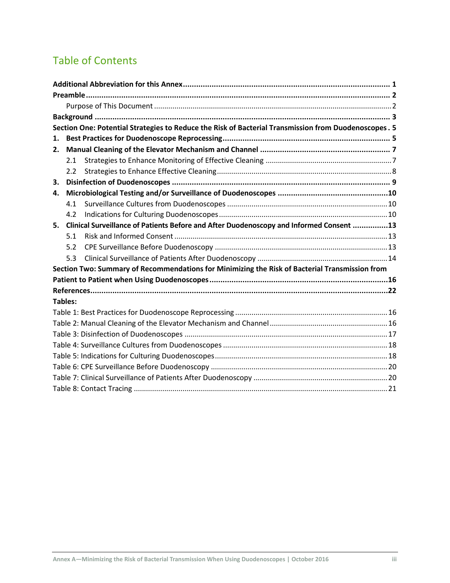# Table of Contents

|                |     | Section One: Potential Strategies to Reduce the Risk of Bacterial Transmission from Duodenoscopes. 5 |
|----------------|-----|------------------------------------------------------------------------------------------------------|
| 1.             |     |                                                                                                      |
| 2.             |     |                                                                                                      |
|                | 2.1 |                                                                                                      |
|                | 2.2 |                                                                                                      |
| 3.             |     |                                                                                                      |
| 4.             |     |                                                                                                      |
|                | 4.1 |                                                                                                      |
|                | 4.2 |                                                                                                      |
| 5.             |     | Clinical Surveillance of Patients Before and After Duodenoscopy and Informed Consent 13              |
|                | 5.1 |                                                                                                      |
|                | 5.2 |                                                                                                      |
|                | 5.3 |                                                                                                      |
|                |     | Section Two: Summary of Recommendations for Minimizing the Risk of Bacterial Transmission from       |
|                |     |                                                                                                      |
|                |     |                                                                                                      |
| <b>Tables:</b> |     |                                                                                                      |
|                |     |                                                                                                      |
|                |     |                                                                                                      |
|                |     |                                                                                                      |
|                |     |                                                                                                      |
|                |     |                                                                                                      |
|                |     |                                                                                                      |
|                |     |                                                                                                      |
|                |     |                                                                                                      |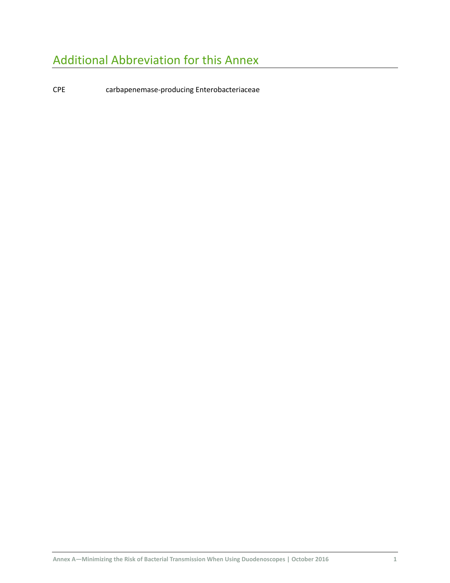# <span id="page-4-0"></span>Additional Abbreviation for this Annex

CPE carbapenemase-producing Enterobacteriaceae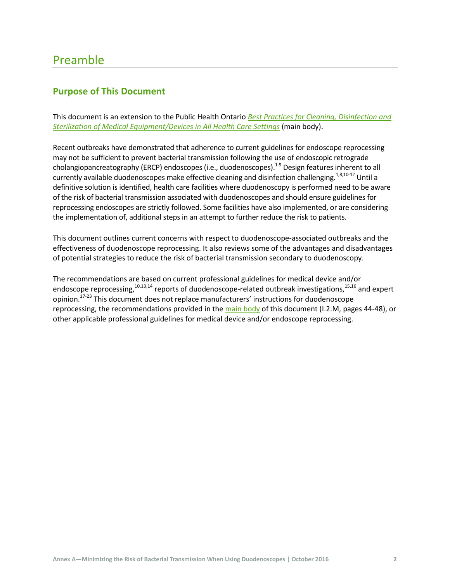## <span id="page-5-0"></span>Preamble

## <span id="page-5-1"></span>**Purpose of This Document**

This document is an extension to the Public Health Ontario *[Best Practices for Cleaning, Disinfection and](http://www.publichealthontario.ca/en/eRepository/PIDAC_Cleaning_Disinfection_and_Sterilization_2013.pdf)  [Sterilization of Medical Equipment/Devices in All Health Care Settings](http://www.publichealthontario.ca/en/eRepository/PIDAC_Cleaning_Disinfection_and_Sterilization_2013.pdf)* (main body).

Recent outbreaks have demonstrated that adherence to current guidelines for endoscope reprocessing may not be sufficient to prevent bacterial transmission following the use of endoscopic retrograde cholangiopancreatography (ERCP) endoscopes (i.e., duodenoscopes).<sup>1-9</sup> Design features inherent to all currently available duodenoscopes make effective cleaning and disinfection challenging.<sup>1,8,10-12</sup> Until a definitive solution is identified, health care facilities where duodenoscopy is performed need to be aware of the risk of bacterial transmission associated with duodenoscopes and should ensure guidelines for reprocessing endoscopes are strictly followed. Some facilities have also implemented, or are considering the implementation of, additional steps in an attempt to further reduce the risk to patients.

This document outlines current concerns with respect to duodenoscope-associated outbreaks and the effectiveness of duodenoscope reprocessing. It also reviews some of the advantages and disadvantages of potential strategies to reduce the risk of bacterial transmission secondary to duodenoscopy.

The recommendations are based on current professional guidelines for medical device and/or endoscope reprocessing,  $10,13,14$  reports of duodenoscope-related outbreak investigations,  $15,16$  and expert opinion.<sup>17-23</sup> This document does not replace manufacturers' instructions for duodenoscope reprocessing, the recommendations provided in th[e main body](http://www.publichealthontario.ca/en/eRepository/PIDAC_Cleaning_Disinfection_and_Sterilization_2013.pdf) of this document (I.2.M, pages 44-48), or other applicable professional guidelines for medical device and/or endoscope reprocessing.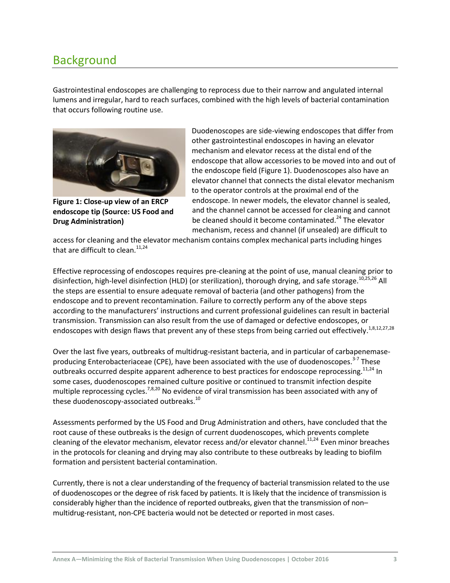## <span id="page-6-0"></span>Background

Gastrointestinal endoscopes are challenging to reprocess due to their narrow and angulated internal lumens and irregular, hard to reach surfaces, combined with the high levels of bacterial contamination that occurs following routine use.



**Figure 1: Close-up view of an ERCP endoscope tip (Source: US Food and Drug Administration)**

Duodenoscopes are side-viewing endoscopes that differ from other gastrointestinal endoscopes in having an elevator mechanism and elevator recess at the distal end of the endoscope that allow accessories to be moved into and out of the endoscope field (Figure 1). Duodenoscopes also have an elevator channel that connects the distal elevator mechanism to the operator controls at the proximal end of the endoscope. In newer models, the elevator channel is sealed, and the channel cannot be accessed for cleaning and cannot be cleaned should it become contaminated.<sup>24</sup> The elevator mechanism, recess and channel (if unsealed) are difficult to

access for cleaning and the elevator mechanism contains complex mechanical parts including hinges that are difficult to clean. $11,24$ 

Effective reprocessing of endoscopes requires pre-cleaning at the point of use, manual cleaning prior to disinfection, high-level disinfection (HLD) (or sterilization), thorough drying, and safe storage.<sup>10,25,26</sup> All the steps are essential to ensure adequate removal of bacteria (and other pathogens) from the endoscope and to prevent recontamination. Failure to correctly perform any of the above steps according to the manufacturers' instructions and current professional guidelines can result in bacterial transmission. Transmission can also result from the use of damaged or defective endoscopes, or endoscopes with design flaws that prevent any of these steps from being carried out effectively.<sup>1,8,12,27,28</sup>

Over the last five years, outbreaks of multidrug-resistant bacteria, and in particular of carbapenemaseproducing Enterobacteriaceae (CPE), have been associated with the use of duodenoscopes.<sup>3-7</sup> These outbreaks occurred despite apparent adherence to best practices for endoscope reprocessing.<sup>11,24</sup> In some cases, duodenoscopes remained culture positive or continued to transmit infection despite multiple reprocessing cycles.<sup>7,8,20</sup> No evidence of viral transmission has been associated with any of these duodenoscopy-associated outbreaks.<sup>10</sup>

Assessments performed by the US Food and Drug Administration and others, have concluded that the root cause of these outbreaks is the design of current duodenoscopes, which prevents complete cleaning of the elevator mechanism, elevator recess and/or elevator channel.<sup>11,24</sup> Even minor breaches in the protocols for cleaning and drying may also contribute to these outbreaks by leading to biofilm formation and persistent bacterial contamination.

Currently, there is not a clear understanding of the frequency of bacterial transmission related to the use of duodenoscopes or the degree of risk faced by patients. It is likely that the incidence of transmission is considerably higher than the incidence of reported outbreaks, given that the transmission of non– multidrug-resistant, non-CPE bacteria would not be detected or reported in most cases.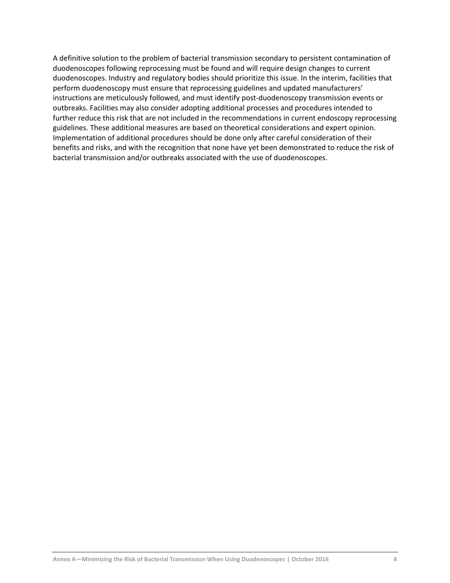A definitive solution to the problem of bacterial transmission secondary to persistent contamination of duodenoscopes following reprocessing must be found and will require design changes to current duodenoscopes. Industry and regulatory bodies should prioritize this issue. In the interim, facilities that perform duodenoscopy must ensure that reprocessing guidelines and updated manufacturers' instructions are meticulously followed, and must identify post-duodenoscopy transmission events or outbreaks. Facilities may also consider adopting additional processes and procedures intended to further reduce this risk that are not included in the recommendations in current endoscopy reprocessing guidelines. These additional measures are based on theoretical considerations and expert opinion. Implementation of additional procedures should be done only after careful consideration of their benefits and risks, and with the recognition that none have yet been demonstrated to reduce the risk of bacterial transmission and/or outbreaks associated with the use of duodenoscopes.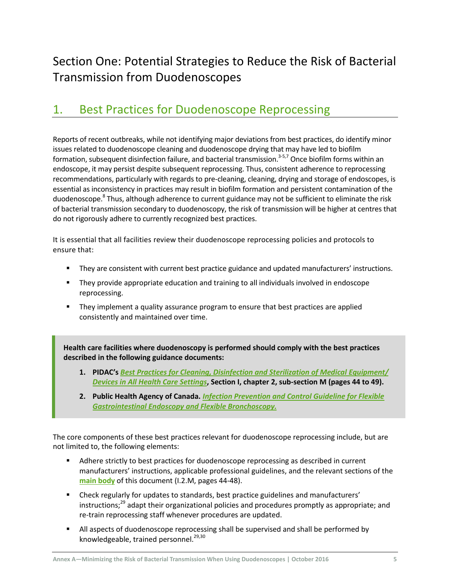# <span id="page-8-0"></span>Section One: Potential Strategies to Reduce the Risk of Bacterial Transmission from Duodenoscopes

## <span id="page-8-1"></span>1. Best Practices for Duodenoscope Reprocessing

Reports of recent outbreaks, while not identifying major deviations from best practices, do identify minor issues related to duodenoscope cleaning and duodenoscope drying that may have led to biofilm formation, subsequent disinfection failure, and bacterial transmission.<sup>3-5,7</sup> Once biofilm forms within an endoscope, it may persist despite subsequent reprocessing. Thus, consistent adherence to reprocessing recommendations, particularly with regards to pre-cleaning, cleaning, drying and storage of endoscopes, is essential as inconsistency in practices may result in biofilm formation and persistent contamination of the duodenoscope.<sup>8</sup> Thus, although adherence to current guidance may not be sufficient to eliminate the risk of bacterial transmission secondary to duodenoscopy, the risk of transmission will be higher at centres that do not rigorously adhere to currently recognized best practices.

It is essential that all facilities review their duodenoscope reprocessing policies and protocols to ensure that:

- They are consistent with current best practice guidance and updated manufacturers' instructions.
- They provide appropriate education and training to all individuals involved in endoscope reprocessing.
- **They implement a quality assurance program to ensure that best practices are applied** consistently and maintained over time.

**Health care facilities where duodenoscopy is performed should comply with the best practices described in the following guidance documents:**

- **1. PIDAC's** *Best Practices [for Cleaning, Disinfection and Sterilization of Medical Equipment/](http://www.publichealthontario.ca/en/eRepository/PIDAC_Cleaning_Disinfection_and_Sterilization_2013.pdf) [Devices in All Health Care Settings](http://www.publichealthontario.ca/en/eRepository/PIDAC_Cleaning_Disinfection_and_Sterilization_2013.pdf)***, Section I, chapter 2, sub-section M (pages 44 to 49).**
- **2. Public Health Agency of Canada.** *[Infection Prevention and Control Guideline for Flexible](http://www.phac-aspc.gc.ca/nois-sinp/guide/endo/pdf/endo-eng.pdf)  [Gastrointestinal Endoscopy and Flexible Bronchoscopy.](http://www.phac-aspc.gc.ca/nois-sinp/guide/endo/pdf/endo-eng.pdf)*

The core components of these best practices relevant for duodenoscope reprocessing include, but are not limited to, the following elements:

- Adhere strictly to best practices for duodenoscope reprocessing as described in current manufacturers' instructions, applicable professional guidelines, and the relevant sections of the **[main body](http://www.publichealthontario.ca/en/eRepository/PIDAC_Cleaning_Disinfection_and_Sterilization_2013.pdf)** of this document (I.2.M, pages 44-48).
- Check regularly for updates to standards, best practice guidelines and manufacturers' instructions;<sup>29</sup> adapt their organizational policies and procedures promptly as appropriate; and re-train reprocessing staff whenever procedures are updated.
- **All aspects of duodenoscope reprocessing shall be supervised and shall be performed by** knowledgeable, trained personnel.<sup>29,30</sup>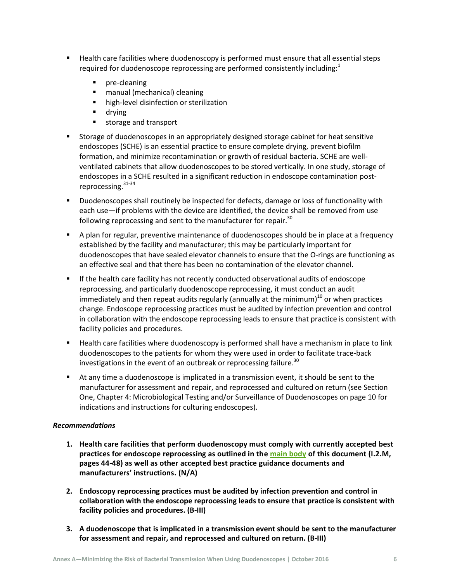- Health care facilities where duodenoscopy is performed must ensure that all essential steps required for duodenoscope reprocessing are performed consistently including: $1$ 
	- **P** pre-cleaning
	- **n** manual (mechanical) cleaning
	- **high-level disinfection or sterilization**
	- **drying**
	- **storage and transport**
- Storage of duodenoscopes in an appropriately designed storage cabinet for heat sensitive endoscopes (SCHE) is an essential practice to ensure complete drying, prevent biofilm formation, and minimize recontamination or growth of residual bacteria. SCHE are wellventilated cabinets that allow duodenoscopes to be stored vertically. In one study, storage of endoscopes in a SCHE resulted in a significant reduction in endoscope contamination postreprocessing.31-34
- Duodenoscopes shall routinely be inspected for defects, damage or loss of functionality with each use—if problems with the device are identified, the device shall be removed from use following reprocessing and sent to the manufacturer for repair.<sup>30</sup>
- A plan for regular, preventive maintenance of duodenoscopes should be in place at a frequency established by the facility and manufacturer; this may be particularly important for duodenoscopes that have sealed elevator channels to ensure that the O-rings are functioning as an effective seal and that there has been no contamination of the elevator channel.
- If the health care facility has not recently conducted observational audits of endoscope reprocessing, and particularly duodenoscope reprocessing, it must conduct an audit immediately and then repeat audits regularly (annually at the minimum) $^{10}$  or when practices change. Endoscope reprocessing practices must be audited by infection prevention and control in collaboration with the endoscope reprocessing leads to ensure that practice is consistent with facility policies and procedures.
- **EXT** Health care facilities where duodenoscopy is performed shall have a mechanism in place to link duodenoscopes to the patients for whom they were used in order to facilitate trace-back investigations in the event of an outbreak or reprocessing failure.<sup>30</sup>
- At any time a duodenoscope is implicated in a transmission event, it should be sent to the manufacturer for assessment and repair, and reprocessed and cultured on return (see [Section](#page-13-0)  [One, Chapter 4: Microbiological Testing and/or Surveillance of Duodenoscopes](#page-13-0) on pag[e 10](#page-13-0) for indications and instructions for culturing endoscopes).

#### *Recommendations*

- **1. Health care facilities that perform duodenoscopy must comply with currently accepted best practices for endoscope reprocessing as outlined in the [main body](http://www.publichealthontario.ca/en/eRepository/PIDAC_Cleaning_Disinfection_and_Sterilization_2013.pdf) of this document (I.2.M, pages 44-48) as well as other accepted best practice guidance documents and manufacturers' instructions. (N/A)**
- **2. Endoscopy reprocessing practices must be audited by infection prevention and control in collaboration with the endoscope reprocessing leads to ensure that practice is consistent with facility policies and procedures. (B-III)**
- **3. A duodenoscope that is implicated in a transmission event should be sent to the manufacturer for assessment and repair, and reprocessed and cultured on return. (B-III)**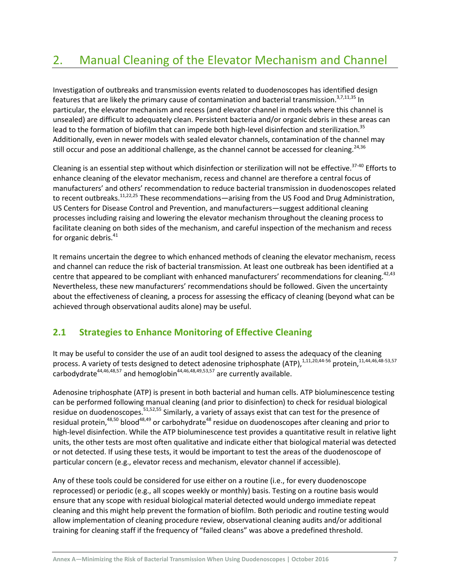# <span id="page-10-0"></span>2. Manual Cleaning of the Elevator Mechanism and Channel

Investigation of outbreaks and transmission events related to duodenoscopes has identified design features that are likely the primary cause of contamination and bacterial transmission.<sup>3,7,11,35</sup> In particular, the elevator mechanism and recess (and elevator channel in models where this channel is unsealed) are difficult to adequately clean. Persistent bacteria and/or organic debris in these areas can lead to the formation of biofilm that can impede both high-level disinfection and sterilization.<sup>35</sup> Additionally, even in newer models with sealed elevator channels, contamination of the channel may still occur and pose an additional challenge, as the channel cannot be accessed for cleaning.<sup>24,36</sup>

Cleaning is an essential step without which disinfection or sterilization will not be effective.<sup>37-40</sup> Efforts to enhance cleaning of the elevator mechanism, recess and channel are therefore a central focus of manufacturers' and others' recommendation to reduce bacterial transmission in duodenoscopes related to recent outbreaks.<sup>11,22,25</sup> These recommendations—arising from the US Food and Drug Administration, US Centers for Disease Control and Prevention, and manufacturers—suggest additional cleaning processes including raising and lowering the elevator mechanism throughout the cleaning process to facilitate cleaning on both sides of the mechanism, and careful inspection of the mechanism and recess for organic debris.<sup>41</sup>

It remains uncertain the degree to which enhanced methods of cleaning the elevator mechanism, recess and channel can reduce the risk of bacterial transmission. At least one outbreak has been identified at a centre that appeared to be compliant with enhanced manufacturers' recommendations for cleaning.<sup>42,43</sup> Nevertheless, these new manufacturers' recommendations should be followed. Given the uncertainty about the effectiveness of cleaning, a process for assessing the efficacy of cleaning (beyond what can be achieved through observational audits alone) may be useful.

## <span id="page-10-1"></span>**2.1 Strategies to Enhance Monitoring of Effective Cleaning**

It may be useful to consider the use of an audit tool designed to assess the adequacy of the cleaning process. A variety of tests designed to detect adenosine triphosphate (ATP), 1,11,20,44-56 protein, 11,44,46,48-53,57 carbodydrate $44,46,48,57$  and hemoglobin $44,46,48,49,53,57$  are currently available.

Adenosine triphosphate (ATP) is present in both bacterial and human cells. ATP bioluminescence testing can be performed following manual cleaning (and prior to disinfection) to check for residual biological residue on duodenoscopes.<sup>51,52,55</sup> Similarly, a variety of assays exist that can test for the presence of residual protein,<sup>48,50</sup> blood<sup>48,49</sup> or carbohydrate<sup>48</sup> residue on duodenoscopes after cleaning and prior to high-level disinfection. While the ATP bioluminescence test provides a quantitative result in relative light units, the other tests are most often qualitative and indicate either that biological material was detected or not detected. If using these tests, it would be important to test the areas of the duodenoscope of particular concern (e.g., elevator recess and mechanism, elevator channel if accessible).

Any of these tools could be considered for use either on a routine (i.e., for every duodenoscope reprocessed) or periodic (e.g., all scopes weekly or monthly) basis. Testing on a routine basis would ensure that any scope with residual biological material detected would undergo immediate repeat cleaning and this might help prevent the formation of biofilm. Both periodic and routine testing would allow implementation of cleaning procedure review, observational cleaning audits and/or additional training for cleaning staff if the frequency of "failed cleans" was above a predefined threshold.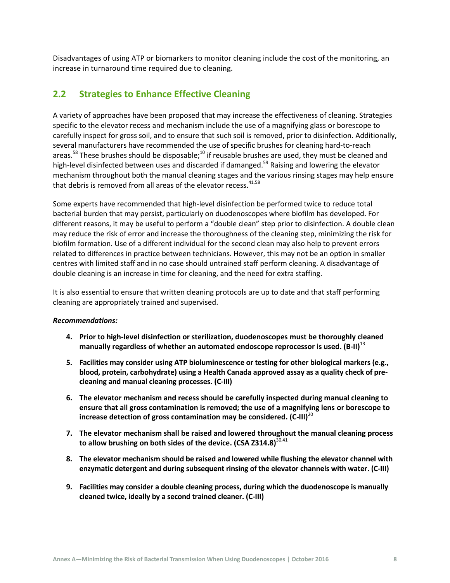Disadvantages of using ATP or biomarkers to monitor cleaning include the cost of the monitoring, an increase in turnaround time required due to cleaning.

## <span id="page-11-0"></span>**2.2 Strategies to Enhance Effective Cleaning**

A variety of approaches have been proposed that may increase the effectiveness of cleaning. Strategies specific to the elevator recess and mechanism include the use of a magnifying glass or borescope to carefully inspect for gross soil, and to ensure that such soil is removed, prior to disinfection. Additionally, several manufacturers have recommended the use of specific brushes for cleaning hard-to-reach areas.<sup>58</sup> These brushes should be disposable;<sup>10</sup> if reusable brushes are used, they must be cleaned and high-level disinfected between uses and discarded if damanged.<sup>59</sup> Raising and lowering the elevator mechanism throughout both the manual cleaning stages and the various rinsing stages may help ensure that debris is removed from all areas of the elevator recess.<sup>41,58</sup>

Some experts have recommended that high-level disinfection be performed twice to reduce total bacterial burden that may persist, particularly on duodenoscopes where biofilm has developed. For different reasons, it may be useful to perform a "double clean" step prior to disinfection. A double clean may reduce the risk of error and increase the thoroughness of the cleaning step, minimizing the risk for biofilm formation. Use of a different individual for the second clean may also help to prevent errors related to differences in practice between technicians. However, this may not be an option in smaller centres with limited staff and in no case should untrained staff perform cleaning. A disadvantage of double cleaning is an increase in time for cleaning, and the need for extra staffing.

It is also essential to ensure that written cleaning protocols are up to date and that staff performing cleaning are appropriately trained and supervised.

#### *Recommendations:*

- **4. Prior to high-level disinfection or sterilization, duodenoscopes must be thoroughly cleaned manually regardless of whether an automated endoscope reprocessor is used. (B-II)** 13
- **5. Facilities may consider using ATP bioluminescence or testing for other biological markers (e.g., blood, protein, carbohydrate) using a Health Canada approved assay as a quality check of precleaning and manual cleaning processes. (C-III)**
- **6. The elevator mechanism and recess should be carefully inspected during manual cleaning to ensure that all gross contamination is removed; the use of a magnifying lens or borescope to increase detection of gross contamination may be considered. (C-III)**<sup>20</sup>
- **7. The elevator mechanism shall be raised and lowered throughout the manual cleaning process**  to allow brushing on both sides of the device. (CSA Z314.8)<sup>30,41</sup>
- **8. The elevator mechanism should be raised and lowered while flushing the elevator channel with enzymatic detergent and during subsequent rinsing of the elevator channels with water. (C-III)**
- **9. Facilities may consider a double cleaning process, during which the duodenoscope is manually cleaned twice, ideally by a second trained cleaner. (C-III)**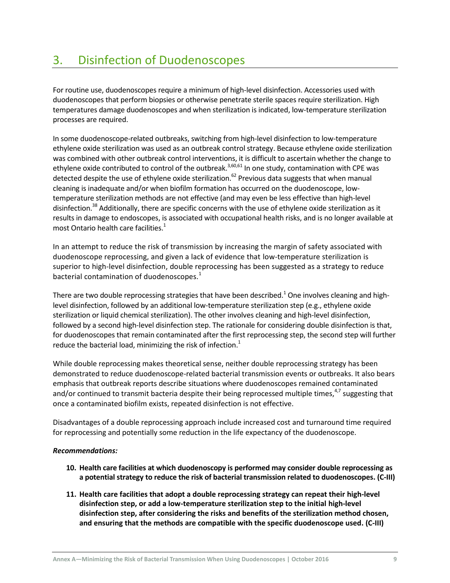<span id="page-12-0"></span>For routine use, duodenoscopes require a minimum of high-level disinfection. Accessories used with duodenoscopes that perform biopsies or otherwise penetrate sterile spaces require sterilization. High temperatures damage duodenoscopes and when sterilization is indicated, low-temperature sterilization processes are required.

In some duodenoscope-related outbreaks, switching from high-level disinfection to low-temperature ethylene oxide sterilization was used as an outbreak control strategy. Because ethylene oxide sterilization was combined with other outbreak control interventions, it is difficult to ascertain whether the change to ethylene oxide contributed to control of the outbreak.<sup>3,60,61</sup> In one study, contamination with CPE was detected despite the use of ethylene oxide sterilization.<sup>62</sup> Previous data suggests that when manual cleaning is inadequate and/or when biofilm formation has occurred on the duodenoscope, lowtemperature sterilization methods are not effective (and may even be less effective than high-level disinfection.<sup>38</sup> Additionally, there are specific concerns with the use of ethylene oxide sterilization as it results in damage to endoscopes, is associated with occupational health risks, and is no longer available at most Ontario health care facilities. 1

In an attempt to reduce the risk of transmission by increasing the margin of safety associated with duodenoscope reprocessing, and given a lack of evidence that low-temperature sterilization is superior to high-level disinfection, double reprocessing has been suggested as a strategy to reduce bacterial contamination of duodenoscopes.<sup>1</sup>

There are two double reprocessing strategies that have been described. $^1$  One involves cleaning and highlevel disinfection, followed by an additional low-temperature sterilization step (e.g., ethylene oxide sterilization or liquid chemical sterilization). The other involves cleaning and high-level disinfection, followed by a second high-level disinfection step. The rationale for considering double disinfection is that, for duodenoscopes that remain contaminated after the first reprocessing step, the second step will further reduce the bacterial load, minimizing the risk of infection.<sup>1</sup>

While double reprocessing makes theoretical sense, neither double reprocessing strategy has been demonstrated to reduce duodenoscope-related bacterial transmission events or outbreaks. It also bears emphasis that outbreak reports describe situations where duodenoscopes remained contaminated and/or continued to transmit bacteria despite their being reprocessed multiple times, $4,7$  suggesting that once a contaminated biofilm exists, repeated disinfection is not effective.

Disadvantages of a double reprocessing approach include increased cost and turnaround time required for reprocessing and potentially some reduction in the life expectancy of the duodenoscope.

#### *Recommendations:*

- **10. Health care facilities at which duodenoscopy is performed may consider double reprocessing as a potential strategy to reduce the risk of bacterial transmission related to duodenoscopes. (C-III)**
- **11. Health care facilities that adopt a double reprocessing strategy can repeat their high-level disinfection step, or add a low-temperature sterilization step to the initial high-level disinfection step, after considering the risks and benefits of the sterilization method chosen, and ensuring that the methods are compatible with the specific duodenoscope used. (C-III)**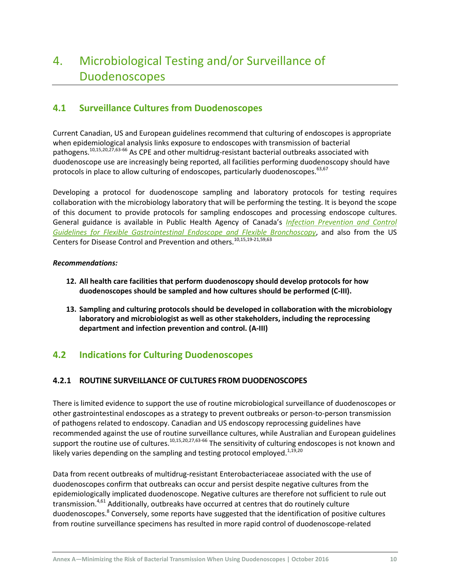# <span id="page-13-0"></span>4. Microbiological Testing and/or Surveillance of Duodenoscopes

## <span id="page-13-1"></span>**4.1 Surveillance Cultures from Duodenoscopes**

Current Canadian, US and European guidelines recommend that culturing of endoscopes is appropriate when epidemiological analysis links exposure to endoscopes with transmission of bacterial pathogens.<sup>10,15,20,27,63-66</sup> As CPE and other multidrug-resistant bacterial outbreaks associated with duodenoscope use are increasingly being reported, all facilities performing duodenoscopy should have protocols in place to allow culturing of endoscopes, particularly duodenoscopes. 63,67

Developing a protocol for duodenoscope sampling and laboratory protocols for testing requires collaboration with the microbiology laboratory that will be performing the testing. It is beyond the scope of this document to provide protocols for sampling endoscopes and processing endoscope cultures. General guidance is available in Public Health Agency of Canada's *[Infection Prevention and Control](http://www.phac-aspc.gc.ca/nois-sinp/guide/endo/pdf/endo-eng.pdf)  [Guidelines for Flexible Gastrointestinal Endoscope and Flexible Bronchoscopy](http://www.phac-aspc.gc.ca/nois-sinp/guide/endo/pdf/endo-eng.pdf)*, and also from the US Centers for Disease Control and Prevention and others.<sup>10,15,19-21,59,63</sup>

#### *Recommendations:*

- **12. All health care facilities that perform duodenoscopy should develop protocols for how duodenoscopes should be sampled and how cultures should be performed (C-III).**
- **13. Sampling and culturing protocols should be developed in collaboration with the microbiology laboratory and microbiologist as well as other stakeholders, including the reprocessing department and infection prevention and control. (A-III)**

## <span id="page-13-2"></span>**4.2 Indications for Culturing Duodenoscopes**

### **4.2.1 ROUTINE SURVEILLANCE OF CULTURES FROM DUODENOSCOPES**

There is limited evidence to support the use of routine microbiological surveillance of duodenoscopes or other gastrointestinal endoscopes as a strategy to prevent outbreaks or person-to-person transmission of pathogens related to endoscopy. Canadian and US endoscopy reprocessing guidelines have recommended against the use of routine surveillance cultures, while Australian and European guidelines support the routine use of cultures.<sup>10,15,20,27,63-66</sup> The sensitivity of culturing endoscopes is not known and likely varies depending on the sampling and testing protocol employed. $^{1,19,20}$ 

Data from recent outbreaks of multidrug-resistant Enterobacteriaceae associated with the use of duodenoscopes confirm that outbreaks can occur and persist despite negative cultures from the epidemiologically implicated duodenoscope. Negative cultures are therefore not sufficient to rule out transmission.<sup>4,61</sup> Additionally, outbreaks have occurred at centres that do routinely culture duodenoscopes.<sup>8</sup> Conversely, some reports have suggested that the identification of positive cultures from routine surveillance specimens has resulted in more rapid control of duodenoscope-related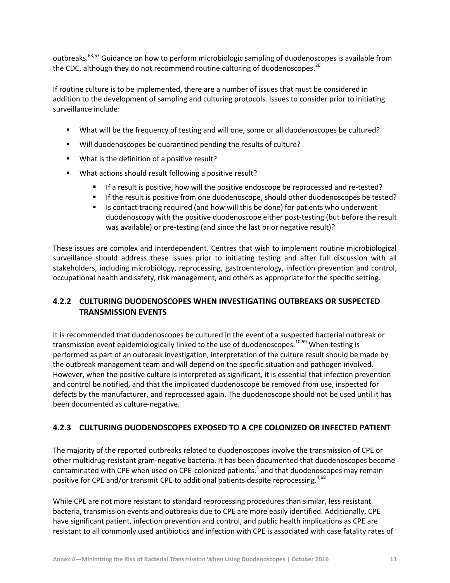outbreaks.63,67 Guidance on how to perform microbiologic sampling of duodenoscopes is available from the CDC, although they do not recommend routine culturing of duodenoscopes.<sup>20</sup>

If routine culture is to be implemented, there are a number of issues that must be considered in addition to the development of sampling and culturing protocols. Issues to consider prior to initiating surveillance include:

- What will be the frequency of testing and will one, some or all duodenoscopes be cultured?
- Will duodenoscopes be quarantined pending the results of culture?
- **What is the definition of a positive result?**
- What actions should result following a positive result?
	- If a result is positive, how will the positive endoscope be reprocessed and re-tested?
	- If the result is positive from one duodenoscope, should other duodenoscopes be tested?
	- Is contact tracing required (and how will this be done) for patients who underwent duodenoscopy with the positive duodenoscope either post-testing (but before the result was available) or pre-testing (and since the last prior negative result)?

These issues are complex and interdependent. Centres that wish to implement routine microbiological surveillance should address these issues prior to initiating testing and after full discussion with all stakeholders, including microbiology, reprocessing, gastroenterology, infection prevention and control, occupational health and safety, risk management, and others as appropriate for the specific setting.

### **4.2.2 CULTURING DUODENOSCOPES WHEN INVESTIGATING OUTBREAKS OR SUSPECTED TRANSMISSION EVENTS**

It is recommended that duodenoscopes be cultured in the event of a suspected bacterial outbreak or transmission event epidemiologically linked to the use of duodenoscopes.<sup>10,59</sup> When testing is performed as part of an outbreak investigation, interpretation of the culture result should be made by the outbreak management team and will depend on the specific situation and pathogen involved. However, when the positive culture is interpreted as significant, it is essential that infection prevention and control be notified, and that the implicated duodenoscope be removed from use, inspected for defects by the manufacturer, and reprocessed again. The duodenoscope should not be used until it has been documented as culture-negative.

#### <span id="page-14-0"></span>**4.2.3 CULTURING DUODENOSCOPES EXPOSED TO A CPE COLONIZED OR INFECTED PATIENT**

The majority of the reported outbreaks related to duodenoscopes involve the transmission of CPE or other multidrug-resistant gram-negative bacteria. It has been documented that duodenoscopes become contaminated with CPE when used on CPE-colonized patients,<sup>4</sup> and that duodenoscopes may remain positive for CPE and/or transmit CPE to additional patients despite reprocessing.<sup>4,68</sup>

While CPE are not more resistant to standard reprocessing procedures than similar, less resistant bacteria, transmission events and outbreaks due to CPE are more easily identified. Additionally, CPE have significant patient, infection prevention and control, and public health implications as CPE are resistant to all commonly used antibiotics and infection with CPE is associated with case fatality rates of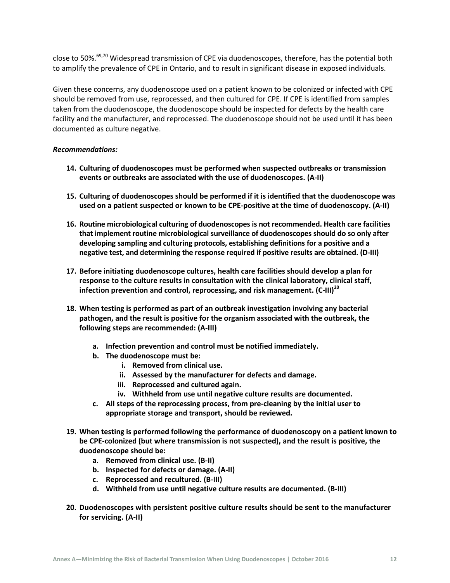close to 50%.<sup>69,70</sup> Widespread transmission of CPE via duodenoscopes, therefore, has the potential both to amplify the prevalence of CPE in Ontario, and to result in significant disease in exposed individuals.

Given these concerns, any duodenoscope used on a patient known to be colonized or infected with CPE should be removed from use, reprocessed, and then cultured for CPE. If CPE is identified from samples taken from the duodenoscope, the duodenoscope should be inspected for defects by the health care facility and the manufacturer, and reprocessed. The duodenoscope should not be used until it has been documented as culture negative.

#### *Recommendations:*

- **14. Culturing of duodenoscopes must be performed when suspected outbreaks or transmission events or outbreaks are associated with the use of duodenoscopes. (A-II)**
- **15. Culturing of duodenoscopes should be performed if it is identified that the duodenoscope was used on a patient suspected or known to be CPE-positive at the time of duodenoscopy. (A-II)**
- **16. Routine microbiological culturing of duodenoscopes is not recommended. Health care facilities that implement routine microbiological surveillance of duodenoscopes should do so only after developing sampling and culturing protocols, establishing definitions for a positive and a negative test, and determining the response required if positive results are obtained. (D-III)**
- **17. Before initiating duodenoscope cultures, health care facilities should develop a plan for response to the culture results in consultation with the clinical laboratory, clinical staff, infection prevention and control, reprocessing, and risk management. (C-III)<sup>20</sup>**
- **18. When testing is performed as part of an outbreak investigation involving any bacterial pathogen, and the result is positive for the organism associated with the outbreak, the following steps are recommended: (A-III)**
	- **a. Infection prevention and control must be notified immediately.**
	- **b. The duodenoscope must be:**
		- **i. Removed from clinical use.**
		- **ii. Assessed by the manufacturer for defects and damage.**
		- **iii. Reprocessed and cultured again.**
		- **iv. Withheld from use until negative culture results are documented.**
	- **c. All steps of the reprocessing process, from pre-cleaning by the initial user to appropriate storage and transport, should be reviewed.**
- **19. When testing is performed following the performance of duodenoscopy on a patient known to be CPE-colonized (but where transmission is not suspected), and the result is positive, the duodenoscope should be:**
	- **a. Removed from clinical use. (B-II)**
	- **b. Inspected for defects or damage. (A-II)**
	- **c. Reprocessed and recultured. (B-III)**
	- **d. Withheld from use until negative culture results are documented. (B-III)**
- **20. Duodenoscopes with persistent positive culture results should be sent to the manufacturer for servicing. (A-II)**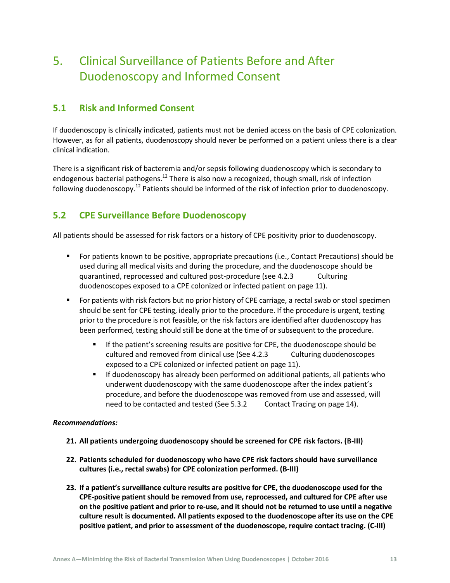## <span id="page-16-0"></span>5. Clinical Surveillance of Patients Before and After Duodenoscopy and Informed Consent

## <span id="page-16-1"></span>**5.1 Risk and Informed Consent**

If duodenoscopy is clinically indicated, patients must not be denied access on the basis of CPE colonization. However, as for all patients, duodenoscopy should never be performed on a patient unless there is a clear clinical indication.

There is a significant risk of bacteremia and/or sepsis following duodenoscopy which is secondary to endogenous bacterial pathogens.<sup>12</sup> There is also now a recognized, though small, risk of infection following duodenoscopy.<sup>12</sup> Patients should be informed of the risk of infection prior to duodenoscopy.

## <span id="page-16-2"></span>**5.2 CPE Surveillance Before Duodenoscopy**

All patients should be assessed for risk factors or a history of CPE positivity prior to duodenoscopy.

- For patients known to be positive, appropriate precautions (i.e., Contact Precautions) should be used during all medical visits and during the procedure, and the duodenoscope should be quarantined, reprocessed and cultured post-procedure (see 4.2.3 [Culturing](#page-14-0)  [duodenoscopes exposed to a CPE colonized or infected patient](#page-14-0) on pag[e 11\)](#page-14-0).
- For patients with risk factors but no prior history of CPE carriage, a rectal swab or stool specimen should be sent for CPE testing, ideally prior to the procedure. If the procedure is urgent, testing prior to the procedure is not feasible, or the risk factors are identified after duodenoscopy has been performed, testing should still be done at the time of or subsequent to the procedure.
	- If the patient's screening results are positive for CPE, the duodenoscope should be cultured and removed from clinical use (See 4.2.3 [Culturing duodenoscopes](#page-14-0)  [exposed to a CPE colonized or infected patient](#page-14-0) on pag[e 11\)](#page-14-0).
	- If duodenoscopy has already been performed on additional patients, all patients who underwent duodenoscopy with the same duodenoscope after the index patient's procedure, and before the duodenoscope was removed from use and assessed, will need to be contacted and tested (See 5.3.2 [Contact Tracing](#page-17-1) on pag[e 14\)](#page-17-1).

#### *Recommendations:*

- **21. All patients undergoing duodenoscopy should be screened for CPE risk factors. (B-III)**
- **22. Patients scheduled for duodenoscopy who have CPE risk factors should have surveillance cultures (i.e., rectal swabs) for CPE colonization performed. (B-III)**
- **23. If a patient's surveillance culture results are positive for CPE, the duodenoscope used for the CPE-positive patient should be removed from use, reprocessed, and cultured for CPE after use on the positive patient and prior to re-use, and it should not be returned to use until a negative culture result is documented. All patients exposed to the duodenoscope after its use on the CPE positive patient, and prior to assessment of the duodenoscope, require contact tracing. (C-III)**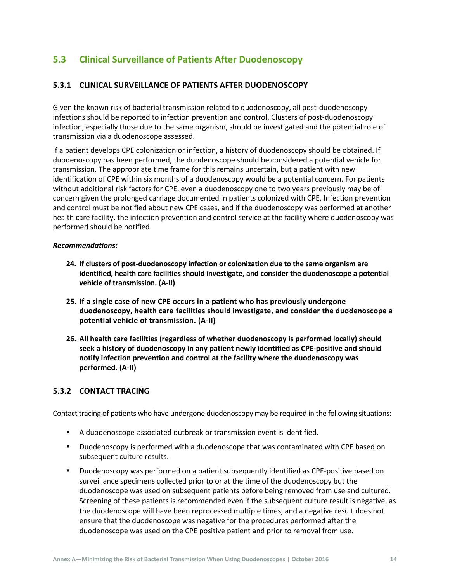## <span id="page-17-0"></span>**5.3 Clinical Surveillance of Patients After Duodenoscopy**

#### **5.3.1 CLINICAL SURVEILLANCE OF PATIENTS AFTER DUODENOSCOPY**

Given the known risk of bacterial transmission related to duodenoscopy, all post-duodenoscopy infections should be reported to infection prevention and control. Clusters of post-duodenoscopy infection, especially those due to the same organism, should be investigated and the potential role of transmission via a duodenoscope assessed.

If a patient develops CPE colonization or infection, a history of duodenoscopy should be obtained. If duodenoscopy has been performed, the duodenoscope should be considered a potential vehicle for transmission. The appropriate time frame for this remains uncertain, but a patient with new identification of CPE within six months of a duodenoscopy would be a potential concern. For patients without additional risk factors for CPE, even a duodenoscopy one to two years previously may be of concern given the prolonged carriage documented in patients colonized with CPE. Infection prevention and control must be notified about new CPE cases, and if the duodenoscopy was performed at another health care facility, the infection prevention and control service at the facility where duodenoscopy was performed should be notified.

#### *Recommendations:*

- **24. If clusters of post-duodenoscopy infection or colonization due to the same organism are identified, health care facilities should investigate, and consider the duodenoscope a potential vehicle of transmission. (A-II)**
- **25. If a single case of new CPE occurs in a patient who has previously undergone duodenoscopy, health care facilities should investigate, and consider the duodenoscope a potential vehicle of transmission. (A-II)**
- **26. All health care facilities (regardless of whether duodenoscopy is performed locally) should seek a history of duodenoscopy in any patient newly identified as CPE-positive and should notify infection prevention and control at the facility where the duodenoscopy was performed. (A-II)**

#### <span id="page-17-1"></span>**5.3.2 CONTACT TRACING**

Contact tracing of patients who have undergone duodenoscopy may be required in the following situations:

- A duodenoscope-associated outbreak or transmission event is identified.
- Duodenoscopy is performed with a duodenoscope that was contaminated with CPE based on subsequent culture results.
- Duodenoscopy was performed on a patient subsequently identified as CPE-positive based on surveillance specimens collected prior to or at the time of the duodenoscopy but the duodenoscope was used on subsequent patients before being removed from use and cultured. Screening of these patients is recommended even if the subsequent culture result is negative, as the duodenoscope will have been reprocessed multiple times, and a negative result does not ensure that the duodenoscope was negative for the procedures performed after the duodenoscope was used on the CPE positive patient and prior to removal from use.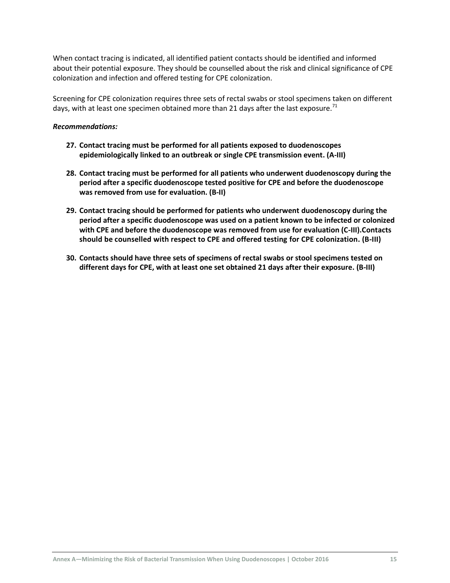When contact tracing is indicated, all identified patient contacts should be identified and informed about their potential exposure. They should be counselled about the risk and clinical significance of CPE colonization and infection and offered testing for CPE colonization.

Screening for CPE colonization requires three sets of rectal swabs or stool specimens taken on different days, with at least one specimen obtained more than 21 days after the last exposure.<sup>71</sup>

#### *Recommendations:*

- **27. Contact tracing must be performed for all patients exposed to duodenoscopes epidemiologically linked to an outbreak or single CPE transmission event. (A-III)**
- **28. Contact tracing must be performed for all patients who underwent duodenoscopy during the period after a specific duodenoscope tested positive for CPE and before the duodenoscope was removed from use for evaluation. (B-II)**
- **29. Contact tracing should be performed for patients who underwent duodenoscopy during the period after a specific duodenoscope was used on a patient known to be infected or colonized with CPE and before the duodenoscope was removed from use for evaluation (C-III).Contacts should be counselled with respect to CPE and offered testing for CPE colonization. (B-III)**
- **30. Contacts should have three sets of specimens of rectal swabs or stool specimens tested on different days for CPE, with at least one set obtained 21 days after their exposure. (B-III)**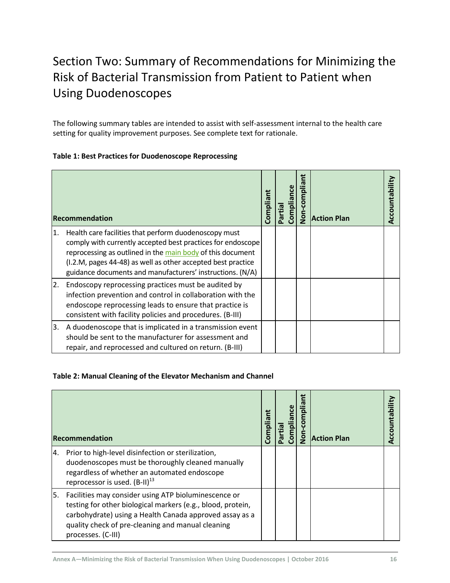# <span id="page-19-0"></span>Section Two: Summary of Recommendations for Minimizing the Risk of Bacterial Transmission from Patient to Patient when Using Duodenoscopes

The following summary tables are intended to assist with self-assessment internal to the health care setting for quality improvement purposes. See complete text for rationale.

#### <span id="page-19-1"></span>**Table 1: Best Practices for Duodenoscope Reprocessing**

|                  | Recommendation                                                                                                                                                                                                                                                                                                  | Compliant | Partial | Compliance | Ë<br>Non-complia | <b>Action Plan</b> |  |
|------------------|-----------------------------------------------------------------------------------------------------------------------------------------------------------------------------------------------------------------------------------------------------------------------------------------------------------------|-----------|---------|------------|------------------|--------------------|--|
| 1.               | Health care facilities that perform duodenoscopy must<br>comply with currently accepted best practices for endoscope<br>reprocessing as outlined in the main body of this document<br>(I.2.M, pages 44-48) as well as other accepted best practice<br>guidance documents and manufacturers' instructions. (N/A) |           |         |            |                  |                    |  |
| $\overline{2}$ . | Endoscopy reprocessing practices must be audited by<br>infection prevention and control in collaboration with the<br>endoscope reprocessing leads to ensure that practice is<br>consistent with facility policies and procedures. (B-III)                                                                       |           |         |            |                  |                    |  |
| 3.               | A duodenoscope that is implicated in a transmission event<br>should be sent to the manufacturer for assessment and<br>repair, and reprocessed and cultured on return. (B-III)                                                                                                                                   |           |         |            |                  |                    |  |

#### <span id="page-19-2"></span>**Table 2: Manual Cleaning of the Elevator Mechanism and Channel**

|     | Recommendation                                                                                                                                                                                                                                            | Compliant | Partial | Non-compliant<br>Complia | <b>Action Plan</b> | Accountability |
|-----|-----------------------------------------------------------------------------------------------------------------------------------------------------------------------------------------------------------------------------------------------------------|-----------|---------|--------------------------|--------------------|----------------|
| 4.  | Prior to high-level disinfection or sterilization,<br>duodenoscopes must be thoroughly cleaned manually<br>regardless of whether an automated endoscope<br>reprocessor is used. (B-II) <sup>13</sup>                                                      |           |         |                          |                    |                |
| l5. | Facilities may consider using ATP bioluminescence or<br>testing for other biological markers (e.g., blood, protein,<br>carbohydrate) using a Health Canada approved assay as a<br>quality check of pre-cleaning and manual cleaning<br>processes. (C-III) |           |         |                          |                    |                |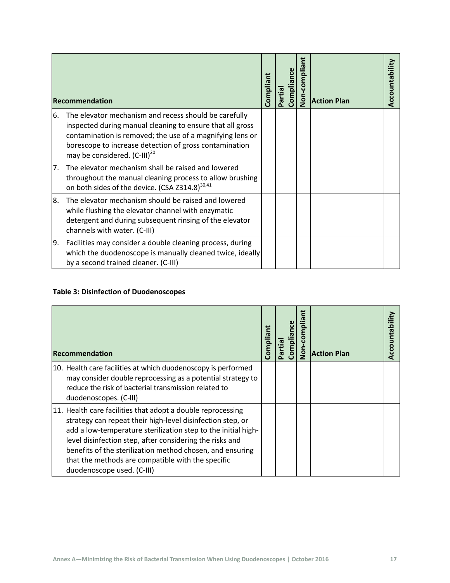|     | Recommendation                                                                                                                                                                                                                                                                        | Compliant | Compliance<br>Partial | Non-compliant | <b>Action Plan</b> | Accountability |
|-----|---------------------------------------------------------------------------------------------------------------------------------------------------------------------------------------------------------------------------------------------------------------------------------------|-----------|-----------------------|---------------|--------------------|----------------|
| 6.  | The elevator mechanism and recess should be carefully<br>inspected during manual cleaning to ensure that all gross<br>contamination is removed; the use of a magnifying lens or<br>borescope to increase detection of gross contamination<br>may be considered. (C-III) <sup>20</sup> |           |                       |               |                    |                |
| 7.  | The elevator mechanism shall be raised and lowered<br>throughout the manual cleaning process to allow brushing<br>on both sides of the device. (CSA Z314.8) <sup>30,41</sup>                                                                                                          |           |                       |               |                    |                |
| 8.  | The elevator mechanism should be raised and lowered<br>while flushing the elevator channel with enzymatic<br>detergent and during subsequent rinsing of the elevator<br>channels with water. (C-III)                                                                                  |           |                       |               |                    |                |
| Ι9. | Facilities may consider a double cleaning process, during<br>which the duodenoscope is manually cleaned twice, ideally<br>by a second trained cleaner. (C-III)                                                                                                                        |           |                       |               |                    |                |

### <span id="page-20-0"></span>**Table 3: Disinfection of Duodenoscopes**

| <b>Recommendation</b>                                                                                                                                                                                                                                                                                                                                                                                  | Compliant | <b>Complianc</b><br>Partial | Non-compliant | <b>Action Plan</b> |  |
|--------------------------------------------------------------------------------------------------------------------------------------------------------------------------------------------------------------------------------------------------------------------------------------------------------------------------------------------------------------------------------------------------------|-----------|-----------------------------|---------------|--------------------|--|
| 10. Health care facilities at which duodenoscopy is performed<br>may consider double reprocessing as a potential strategy to<br>reduce the risk of bacterial transmission related to<br>duodenoscopes. (C-III)                                                                                                                                                                                         |           |                             |               |                    |  |
| 11. Health care facilities that adopt a double reprocessing<br>strategy can repeat their high-level disinfection step, or<br>add a low-temperature sterilization step to the initial high-<br>level disinfection step, after considering the risks and<br>benefits of the sterilization method chosen, and ensuring<br>that the methods are compatible with the specific<br>duodenoscope used. (C-III) |           |                             |               |                    |  |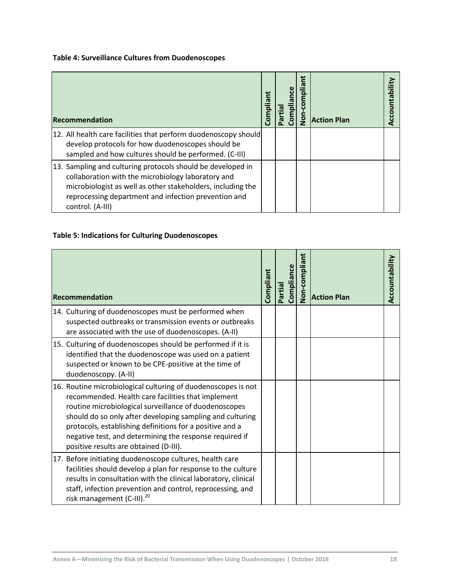### <span id="page-21-0"></span>**Table 4: Surveillance Cultures from Duodenoscopes**

| Recommendation                                                                                                                                                                                                                                               | Compliant | Complianc<br>Partial | Non-compliant | <b>Action Plan</b> |  |
|--------------------------------------------------------------------------------------------------------------------------------------------------------------------------------------------------------------------------------------------------------------|-----------|----------------------|---------------|--------------------|--|
| 12. All health care facilities that perform duodenoscopy should<br>develop protocols for how duodenoscopes should be<br>sampled and how cultures should be performed. (C-III)                                                                                |           |                      |               |                    |  |
| 13. Sampling and culturing protocols should be developed in<br>collaboration with the microbiology laboratory and<br>microbiologist as well as other stakeholders, including the<br>reprocessing department and infection prevention and<br>control. (A-III) |           |                      |               |                    |  |

### <span id="page-21-1"></span>**Table 5: Indications for Culturing Duodenoscopes**

| Recommendation                                                                                                                                                                                                                                                                                                                                                                                             | Compliant | Compliance<br>Partial | Non-compliant | <b>Action Plan</b> | Accountability |
|------------------------------------------------------------------------------------------------------------------------------------------------------------------------------------------------------------------------------------------------------------------------------------------------------------------------------------------------------------------------------------------------------------|-----------|-----------------------|---------------|--------------------|----------------|
| 14. Culturing of duodenoscopes must be performed when<br>suspected outbreaks or transmission events or outbreaks<br>are associated with the use of duodenoscopes. (A-II)                                                                                                                                                                                                                                   |           |                       |               |                    |                |
| 15. Culturing of duodenoscopes should be performed if it is<br>identified that the duodenoscope was used on a patient<br>suspected or known to be CPE-positive at the time of<br>duodenoscopy. (A-II)                                                                                                                                                                                                      |           |                       |               |                    |                |
| 16. Routine microbiological culturing of duodenoscopes is not<br>recommended. Health care facilities that implement<br>routine microbiological surveillance of duodenoscopes<br>should do so only after developing sampling and culturing<br>protocols, establishing definitions for a positive and a<br>negative test, and determining the response required if<br>positive results are obtained (D-III). |           |                       |               |                    |                |
| 17. Before initiating duodenoscope cultures, health care<br>facilities should develop a plan for response to the culture<br>results in consultation with the clinical laboratory, clinical<br>staff, infection prevention and control, reprocessing, and<br>risk management (C-III). <sup>20</sup>                                                                                                         |           |                       |               |                    |                |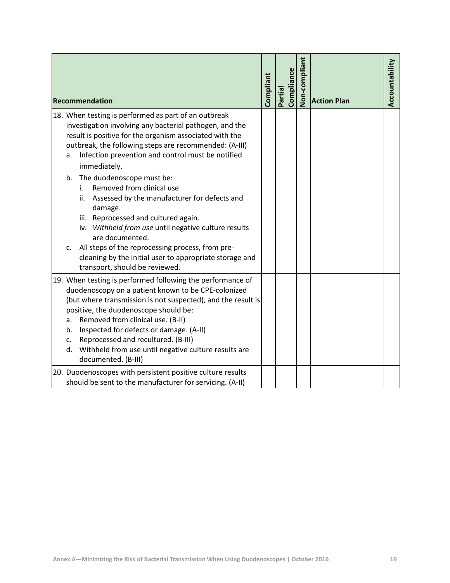|                      | Recommendation                                                                                                                                                                                                                                                                                                                                                                                                                   | Compliant | Compliance<br>Partial | Non-compliant | <b>Action Plan</b> | Accountability |
|----------------------|----------------------------------------------------------------------------------------------------------------------------------------------------------------------------------------------------------------------------------------------------------------------------------------------------------------------------------------------------------------------------------------------------------------------------------|-----------|-----------------------|---------------|--------------------|----------------|
| a.                   | 18. When testing is performed as part of an outbreak<br>investigation involving any bacterial pathogen, and the<br>result is positive for the organism associated with the<br>outbreak, the following steps are recommended: (A-III)<br>Infection prevention and control must be notified<br>immediately.                                                                                                                        |           |                       |               |                    |                |
| b.<br>c.             | The duodenoscope must be:<br>Removed from clinical use.<br>i.<br>Assessed by the manufacturer for defects and<br>ii.<br>damage.<br>iii. Reprocessed and cultured again.<br>iv. Withheld from use until negative culture results<br>are documented.<br>All steps of the reprocessing process, from pre-                                                                                                                           |           |                       |               |                    |                |
|                      | cleaning by the initial user to appropriate storage and<br>transport, should be reviewed.                                                                                                                                                                                                                                                                                                                                        |           |                       |               |                    |                |
| а.<br>b.<br>c.<br>d. | 19. When testing is performed following the performance of<br>duodenoscopy on a patient known to be CPE-colonized<br>(but where transmission is not suspected), and the result is<br>positive, the duodenoscope should be:<br>Removed from clinical use. (B-II)<br>Inspected for defects or damage. (A-II)<br>Reprocessed and recultured. (B-III)<br>Withheld from use until negative culture results are<br>documented. (B-III) |           |                       |               |                    |                |
|                      | 20. Duodenoscopes with persistent positive culture results<br>should be sent to the manufacturer for servicing. (A-II)                                                                                                                                                                                                                                                                                                           |           |                       |               |                    |                |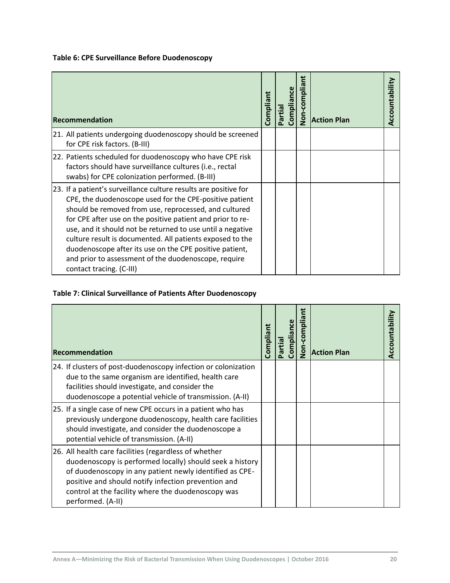### <span id="page-23-0"></span>**Table 6: CPE Surveillance Before Duodenoscopy**

| Recommendation                                                                                                                                                                                                                                                                                                                                                                                                                                                                                                               | Compliant | Compliance<br>Partial | Non-compliant | <b>Action Plan</b> | Accountability |
|------------------------------------------------------------------------------------------------------------------------------------------------------------------------------------------------------------------------------------------------------------------------------------------------------------------------------------------------------------------------------------------------------------------------------------------------------------------------------------------------------------------------------|-----------|-----------------------|---------------|--------------------|----------------|
| 21. All patients undergoing duodenoscopy should be screened<br>for CPE risk factors. (B-III)                                                                                                                                                                                                                                                                                                                                                                                                                                 |           |                       |               |                    |                |
| 22. Patients scheduled for duodenoscopy who have CPE risk<br>factors should have surveillance cultures (i.e., rectal<br>swabs) for CPE colonization performed. (B-III)                                                                                                                                                                                                                                                                                                                                                       |           |                       |               |                    |                |
| 23. If a patient's surveillance culture results are positive for<br>CPE, the duodenoscope used for the CPE-positive patient<br>should be removed from use, reprocessed, and cultured<br>for CPE after use on the positive patient and prior to re-<br>use, and it should not be returned to use until a negative<br>culture result is documented. All patients exposed to the<br>duodenoscope after its use on the CPE positive patient,<br>and prior to assessment of the duodenoscope, require<br>contact tracing. (C-III) |           |                       |               |                    |                |

### <span id="page-23-1"></span>**Table 7: Clinical Surveillance of Patients After Duodenoscopy**

| <b>Recommendation</b>                                                                                                                                                                                                                                                                                          | Compliant | Compliance<br>Partial | Ë<br><b>Non-complia</b> | <b>Action Plan</b> | Accountability |
|----------------------------------------------------------------------------------------------------------------------------------------------------------------------------------------------------------------------------------------------------------------------------------------------------------------|-----------|-----------------------|-------------------------|--------------------|----------------|
| 24. If clusters of post-duodenoscopy infection or colonization<br>due to the same organism are identified, health care<br>facilities should investigate, and consider the<br>duodenoscope a potential vehicle of transmission. (A-II)                                                                          |           |                       |                         |                    |                |
| 25. If a single case of new CPE occurs in a patient who has<br>previously undergone duodenoscopy, health care facilities<br>should investigate, and consider the duodenoscope a<br>potential vehicle of transmission. (A-II)                                                                                   |           |                       |                         |                    |                |
| 26. All health care facilities (regardless of whether<br>duodenoscopy is performed locally) should seek a history<br>of duodenoscopy in any patient newly identified as CPE-<br>positive and should notify infection prevention and<br>control at the facility where the duodenoscopy was<br>performed. (A-II) |           |                       |                         |                    |                |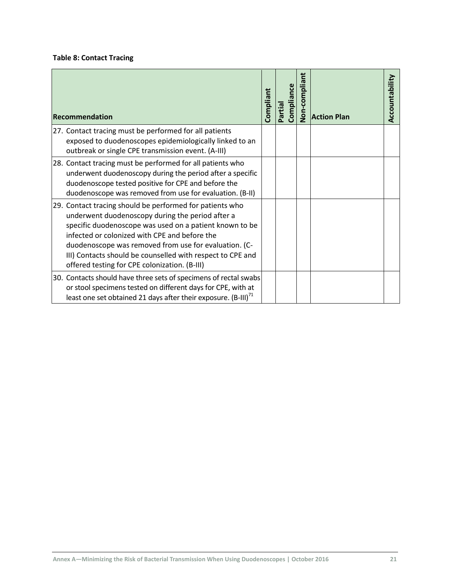### <span id="page-24-0"></span>**Table 8: Contact Tracing**

| Recommendation                                                                                                                                                                                                                                                                                                                                                                                   | Compliant | Compliance<br>Partial | <b>Non-compliant</b> | <b>Action Plan</b> | Accountability |
|--------------------------------------------------------------------------------------------------------------------------------------------------------------------------------------------------------------------------------------------------------------------------------------------------------------------------------------------------------------------------------------------------|-----------|-----------------------|----------------------|--------------------|----------------|
| 27. Contact tracing must be performed for all patients<br>exposed to duodenoscopes epidemiologically linked to an<br>outbreak or single CPE transmission event. (A-III)                                                                                                                                                                                                                          |           |                       |                      |                    |                |
| 28. Contact tracing must be performed for all patients who<br>underwent duodenoscopy during the period after a specific<br>duodenoscope tested positive for CPE and before the<br>duodenoscope was removed from use for evaluation. (B-II)                                                                                                                                                       |           |                       |                      |                    |                |
| 29. Contact tracing should be performed for patients who<br>underwent duodenoscopy during the period after a<br>specific duodenoscope was used on a patient known to be<br>infected or colonized with CPE and before the<br>duodenoscope was removed from use for evaluation. (C-<br>III) Contacts should be counselled with respect to CPE and<br>offered testing for CPE colonization. (B-III) |           |                       |                      |                    |                |
| 30. Contacts should have three sets of specimens of rectal swabs<br>or stool specimens tested on different days for CPE, with at<br>least one set obtained 21 days after their exposure. (B-III) <sup>71</sup>                                                                                                                                                                                   |           |                       |                      |                    |                |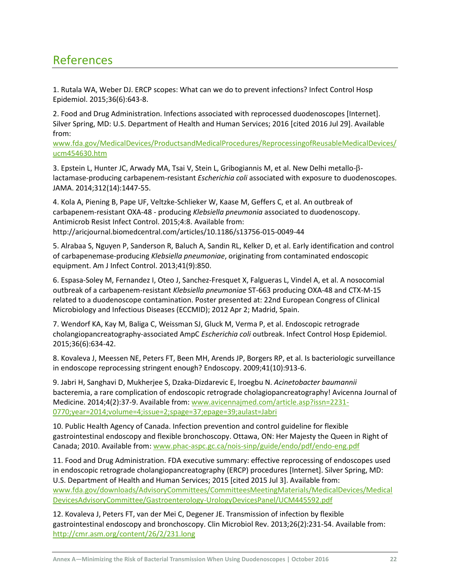## <span id="page-25-0"></span>References

1. Rutala WA, Weber DJ. ERCP scopes: What can we do to prevent infections? Infect Control Hosp Epidemiol. 2015;36(6):643-8.

2. Food and Drug Administration. Infections associated with reprocessed duodenoscopes [Internet]. Silver Spring, MD: U.S. Department of Health and Human Services; 2016 [cited 2016 Jul 29]. Available from:

[www.fda.gov/MedicalDevices/ProductsandMedicalProcedures/ReprocessingofReusableMedicalDevices/](http://www.fda.gov/MedicalDevices/ProductsandMedicalProcedures/ReprocessingofReusableMedicalDevices/ucm454630.htm) [ucm454630.htm](http://www.fda.gov/MedicalDevices/ProductsandMedicalProcedures/ReprocessingofReusableMedicalDevices/ucm454630.htm)

3. Epstein L, Hunter JC, Arwady MA, Tsai V, Stein L, Gribogiannis M, et al. New Delhi metallo- $\beta$ lactamase-producing carbapenem-resistant *Escherichia coli* associated with exposure to duodenoscopes. JAMA. 2014;312(14):1447-55.

4. Kola A, Piening B, Pape UF, Veltzke-Schlieker W, Kaase M, Geffers C, et al. An outbreak of carbapenem-resistant OXA-48 - producing *Klebsiella pneumonia* associated to duodenoscopy. Antimicrob Resist Infect Control. 2015;4:8. Available from: http://aricjournal.biomedcentral.com/articles/10.1186/s13756-015-0049-44

5. Alrabaa S, Nguyen P, Sanderson R, Baluch A, Sandin RL, Kelker D, et al. Early identification and control of carbapenemase-producing *Klebsiella pneumoniae*, originating from contaminated endoscopic equipment. Am J Infect Control. 2013;41(9):850.

6. Espasa-Soley M, Fernandez I, Oteo J, Sanchez-Fresquet X, Falgueras L, Vindel A, et al. A nosocomial outbreak of a carbapenem-resistant *Klebsiella pneumoniae* ST-663 producing OXA-48 and CTX-M-15 related to a duodenoscope contamination. Poster presented at: 22nd European Congress of Clinical Microbiology and Infectious Diseases (ECCMID); 2012 Apr 2; Madrid, Spain.

7. Wendorf KA, Kay M, Baliga C, Weissman SJ, Gluck M, Verma P, et al. Endoscopic retrograde cholangiopancreatography-associated AmpC *Escherichia coli* outbreak. Infect Control Hosp Epidemiol. 2015;36(6):634-42.

8. Kovaleva J, Meessen NE, Peters FT, Been MH, Arends JP, Borgers RP, et al. Is bacteriologic surveillance in endoscope reprocessing stringent enough? Endoscopy. 2009;41(10):913-6.

9. Jabri H, Sanghavi D, Mukherjee S, Dzaka-Dizdarevic E, Iroegbu N. *Acinetobacter baumannii* bacteremia, a rare complication of endoscopic retrograde cholagiopancreatography! Avicenna Journal of Medicine. 2014;4(2):37-9. Available from[: www.avicennajmed.com/article.asp?issn=2231-](http://www.avicennajmed.com/article.asp?issn=2231-0770;year=2014;volume=4;issue=2;spage=37;epage=39;aulast=Jabri) [0770;year=2014;volume=4;issue=2;spage=37;epage=39;aulast=Jabri](http://www.avicennajmed.com/article.asp?issn=2231-0770;year=2014;volume=4;issue=2;spage=37;epage=39;aulast=Jabri)

10. Public Health Agency of Canada. Infection prevention and control guideline for flexible gastrointestinal endoscopy and flexible bronchoscopy. Ottawa, ON: Her Majesty the Queen in Right of Canada; 2010. Available from[: www.phac-aspc.gc.ca/nois-sinp/guide/endo/pdf/endo-eng.pdf](http://www.phac-aspc.gc.ca/nois-sinp/guide/endo/pdf/endo-eng.pdf)

11. Food and Drug Administration. FDA executive summary: effective reprocessing of endoscopes used in endoscopic retrograde cholangiopancreatography (ERCP) procedures [Internet]. Silver Spring, MD: U.S. Department of Health and Human Services; 2015 [cited 2015 Jul 3]. Available from: [www.fda.gov/downloads/AdvisoryCommittees/CommitteesMeetingMaterials/MedicalDevices/Medical](http://www.fda.gov/downloads/AdvisoryCommittees/CommitteesMeetingMaterials/MedicalDevices/MedicalDevicesAdvisoryCommittee/Gastroenterology-UrologyDevicesPanel/UCM445592.pdf) [DevicesAdvisoryCommittee/Gastroenterology-UrologyDevicesPanel/UCM445592.pdf](http://www.fda.gov/downloads/AdvisoryCommittees/CommitteesMeetingMaterials/MedicalDevices/MedicalDevicesAdvisoryCommittee/Gastroenterology-UrologyDevicesPanel/UCM445592.pdf)

12. Kovaleva J, Peters FT, van der Mei C, Degener JE. Transmission of infection by flexible gastrointestinal endoscopy and bronchoscopy. Clin Microbiol Rev. 2013;26(2):231-54. Available from: <http://cmr.asm.org/content/26/2/231.long>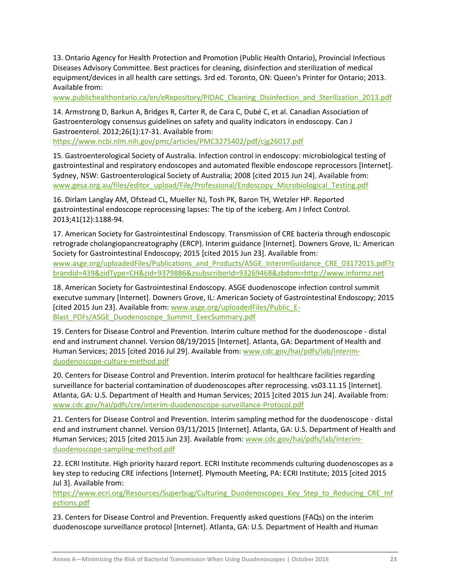13. Ontario Agency for Health Protection and Promotion (Public Health Ontario), Provincial Infectious Diseases Advisory Committee. Best practices for cleaning, disinfection and sterilization of medical equipment/devices in all health care settings. 3rd ed. Toronto, ON: Queen's Printer for Ontario; 2013. Available from:

[www.publichealthontario.ca/en/eRepository/PIDAC\\_Cleaning\\_Disinfection\\_and\\_Sterilization\\_2013.pdf](http://www.publichealthontario.ca/en/eRepository/PIDAC_Cleaning_Disinfection_and_Sterilization_2013.pdf)

14. Armstrong D, Barkun A, Bridges R, Carter R, de Cara C, Dubé C, et al. Canadian Association of Gastroenterology consensus guidelines on safety and quality indicators in endoscopy. Can J Gastroenterol. 2012;26(1):17-31. Available from:

[https://www.ncbi.nlm.nih.gov/pmc/articles/PMC3275402/pdf/cjg26017.pdf](https://www.cag-acg.org/uploads/cag_safety_quality_indicators_endoscopy_consensus_paper.pdf)

15. Gastroenterological Society of Australia. Infection control in endoscopy: microbiological testing of gastrointestinal and respiratory endoscopes and automated flexible endoscope reprocessors [Internet]. Sydney, NSW: Gastroenterological Society of Australia; 2008 [cited 2015 Jun 24]. Available from: [www.gesa.org.au/files/editor\\_upload/File/Professional/Endoscopy\\_Microbiological\\_Testing.pdf](http://www.gesa.org.au/files/editor_upload/File/Professional/Endoscopy_Microbiological_Testing.pdf)

16. Dirlam Langlay AM, Ofstead CL, Mueller NJ, Tosh PK, Baron TH, Wetzler HP. Reported gastrointestinal endoscope reprocessing lapses: The tip of the iceberg. Am J Infect Control. 2013;41(12):1188-94.

17. American Society for Gastrointestinal Endoscopy. Transmission of CRE bacteria through endoscopic retrograde cholangiopancreatography (ERCP). Interim guidance [Internet]. Downers Grove, IL: American Society for Gastrointestinal Endoscopy; 2015 [cited 2015 Jun 23]. Available from: [www.asge.org/uploadedFiles/Publications\\_and\\_Products/ASGE\\_InterimGuidance\\_CRE\\_03172015.pdf?z](http://www.asge.org/uploadedFiles/Publications_and_Products/ASGE_InterimGuidance_CRE_03172015.pdf?zbrandid=439&zidType=CH&zid=9379886&zsubscriberId=93269468&zbdom=http://www.informz.net) [brandid=439&zidType=CH&zid=9379886&zsubscriberId=93269468&zbdom=http://www.informz.net](http://www.asge.org/uploadedFiles/Publications_and_Products/ASGE_InterimGuidance_CRE_03172015.pdf?zbrandid=439&zidType=CH&zid=9379886&zsubscriberId=93269468&zbdom=http://www.informz.net)

18. American Society for Gastrointestinal Endoscopy. ASGE duodenoscope infection control summit executve summary [Internet]. Downers Grove, IL: American Society of Gastrointestinal Endoscopy; 2015 [cited 2015 Jun 23]. Available from: [www.asge.org/uploadedFiles/Public\\_E-](http://www.asge.org/uploadedFiles/Public_E-Blast_PDFs/ASGE_Duodenoscope_Summit_ExecSummary.pdf)[Blast\\_PDFs/ASGE\\_Duodenoscope\\_Summit\\_ExecSummary.pdf](http://www.asge.org/uploadedFiles/Public_E-Blast_PDFs/ASGE_Duodenoscope_Summit_ExecSummary.pdf)

19. Centers for Disease Control and Prevention. Interim culture method for the duodenoscope - distal end and instrument channel. Version 08/19/2015 [Internet]. Atlanta, GA: Department of Health and Human Services; 2015 [cited 2016 Jul 29]. Available from[: www.cdc.gov/hai/pdfs/lab/interim](http://www.cdc.gov/hai/pdfs/lab/interim-duodenoscope-culture-method.pdf)[duodenoscope-culture-method.pdf](http://www.cdc.gov/hai/pdfs/lab/interim-duodenoscope-culture-method.pdf)

20. Centers for Disease Control and Prevention. Interim protocol for healthcare facilities regarding surveillance for bacterial contamination of duodenoscopes after reprocessing. vs03.11.15 [Internet]. Atlanta, GA: U.S. Department of Health and Human Services; 2015 [cited 2015 Jun 24]. Available from: [www.cdc.gov/hai/pdfs/cre/interim-duodenoscope-surveillance-Protocol.pdf](http://www.cdc.gov/hai/pdfs/cre/interim-duodenoscope-surveillance-Protocol.pdf)

21. Centers for Disease Control and Prevention. Interim sampling method for the duodenoscope - distal end and instrument channel. Version 03/11/2015 [Internet]. Atlanta, GA: U.S. Department of Health and Human Services; 2015 [cited 2015 Jun 23]. Available from: [www.cdc.gov/hai/pdfs/lab/interim](http://www.cdc.gov/hai/pdfs/lab/interim-duodenoscope-sampling-method.pdf)[duodenoscope-sampling-method.pdf](http://www.cdc.gov/hai/pdfs/lab/interim-duodenoscope-sampling-method.pdf)

22. ECRI Institute. High priority hazard report. ECRI Institute recommends culturing duodenoscopes as a key step to reducing CRE infections [Internet]. Plymouth Meeting, PA: ECRI Institute; 2015 [cited 2015 Jul 3]. Available from:

[https://www.ecri.org/Resources/Superbug/Culturing\\_Duodenoscopes\\_Key\\_Step\\_to\\_Reducing\\_CRE\\_Inf](https://www.ecri.org/Resources/Superbug/Culturing_Duodenoscopes_Key_Step_to_Reducing_CRE_Infections.pdf) [ections.pdf](https://www.ecri.org/Resources/Superbug/Culturing_Duodenoscopes_Key_Step_to_Reducing_CRE_Infections.pdf)

23. Centers for Disease Control and Prevention. Frequently asked questions (FAQs) on the interim duodenoscope surveillance protocol [Internet]. Atlanta, GA: U.S. Department of Health and Human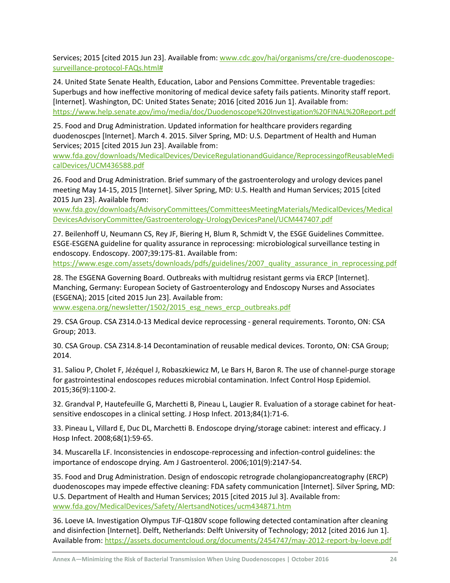Services; 2015 [cited 2015 Jun 23]. Available from: [www.cdc.gov/hai/organisms/cre/cre-duodenoscope](http://www.cdc.gov/hai/organisms/cre/cre-duodenoscope-surveillance-protocol-FAQs.html)[surveillance-protocol-FAQs.html#](http://www.cdc.gov/hai/organisms/cre/cre-duodenoscope-surveillance-protocol-FAQs.html)

24. United State Senate Health, Education, Labor and Pensions Committee. Preventable tragedies: Superbugs and how ineffective monitoring of medical device safety fails patients. Minority staff report. [Internet]. Washington, DC: United States Senate; 2016 [cited 2016 Jun 1]. Available from: <https://www.help.senate.gov/imo/media/doc/Duodenoscope%20Investigation%20FINAL%20Report.pdf>

25. Food and Drug Administration. Updated information for healthcare providers regarding duodenoscpes [Internet]. March 4. 2015. Silver Spring, MD: U.S. Department of Health and Human Services; 2015 [cited 2015 Jun 23]. Available from:

[www.fda.gov/downloads/MedicalDevices/DeviceRegulationandGuidance/ReprocessingofReusableMedi](http://www.fda.gov/downloads/MedicalDevices/DeviceRegulationandGuidance/ReprocessingofReusableMedicalDevices/UCM436588.pdf) [calDevices/UCM436588.pdf](http://www.fda.gov/downloads/MedicalDevices/DeviceRegulationandGuidance/ReprocessingofReusableMedicalDevices/UCM436588.pdf)

26. Food and Drug Administration. Brief summary of the gastroenterology and urology devices panel meeting May 14-15, 2015 [Internet]. Silver Spring, MD: U.S. Health and Human Services; 2015 [cited 2015 Jun 23]. Available from:

[www.fda.gov/downloads/AdvisoryCommittees/CommitteesMeetingMaterials/MedicalDevices/Medical](http://www.fda.gov/downloads/AdvisoryCommittees/CommitteesMeetingMaterials/MedicalDevices/MedicalDevicesAdvisoryCommittee/Gastroenterology-UrologyDevicesPanel/UCM447407.pdf) [DevicesAdvisoryCommittee/Gastroenterology-UrologyDevicesPanel/UCM447407.pdf](http://www.fda.gov/downloads/AdvisoryCommittees/CommitteesMeetingMaterials/MedicalDevices/MedicalDevicesAdvisoryCommittee/Gastroenterology-UrologyDevicesPanel/UCM447407.pdf)

27. Beilenhoff U, Neumann CS, Rey JF, Biering H, Blum R, Schmidt V, the ESGE Guidelines Committee. ESGE-ESGENA guideline for quality assurance in reprocessing: microbiological surveillance testing in endoscopy. Endoscopy. 2007;39:175-81. Available from:

https://www.esge.com/assets/downloads/pdfs/guidelines/2007 quality assurance in reprocessing.pdf

28. The ESGENA Governing Board. Outbreaks with multidrug resistant germs via ERCP [Internet]. Manching, Germany: European Society of Gastroenterology and Endoscopy Nurses and Associates (ESGENA); 2015 [cited 2015 Jun 23]. Available from:

[www.esgena.org/newsletter/1502/2015\\_esg\\_news\\_ercp\\_outbreaks.pdf](http://www.esgena.org/newsletter/1502/2015_esg_news_ercp_outbreaks.pdf)

29. CSA Group. CSA Z314.0-13 Medical device reprocessing - general requirements. Toronto, ON: CSA Group; 2013.

30. CSA Group. CSA Z314.8-14 Decontamination of reusable medical devices. Toronto, ON: CSA Group; 2014.

31. Saliou P, Cholet F, Jézéquel J, Robaszkiewicz M, Le Bars H, Baron R. The use of channel-purge storage for gastrointestinal endoscopes reduces microbial contamination. Infect Control Hosp Epidemiol. 2015;36(9):1100-2.

32. Grandval P, Hautefeuille G, Marchetti B, Pineau L, Laugier R. Evaluation of a storage cabinet for heatsensitive endoscopes in a clinical setting. J Hosp Infect. 2013;84(1):71-6.

33. Pineau L, Villard E, Duc DL, Marchetti B. Endoscope drying/storage cabinet: interest and efficacy. J Hosp Infect. 2008;68(1):59-65.

34. Muscarella LF. Inconsistencies in endoscope-reprocessing and infection-control guidelines: the importance of endoscope drying. Am J Gastroenterol. 2006;101(9):2147-54.

35. Food and Drug Administration. Design of endoscopic retrograde cholangiopancreatography (ERCP) duodenoscopes may impede effective cleaning: FDA safety communication [Internet]. Silver Spring, MD: U.S. Department of Health and Human Services; 2015 [cited 2015 Jul 3]. Available from: [www.fda.gov/MedicalDevices/Safety/AlertsandNotices/ucm434871.htm](http://www.fda.gov/MedicalDevices/Safety/AlertsandNotices/ucm434871.htm)

36. Loeve IA. Investigation Olympus TJF-Q180V scope following detected contamination after cleaning and disinfection [Internet]. Delft, Netherlands: Delft University of Technology; 2012 [cited 2016 Jun 1]. Available from[: https://assets.documentcloud.org/documents/2454747/may-2012-report-by-loeve.pdf](https://assets.documentcloud.org/documents/2454747/may-2012-report-by-loeve.pdf)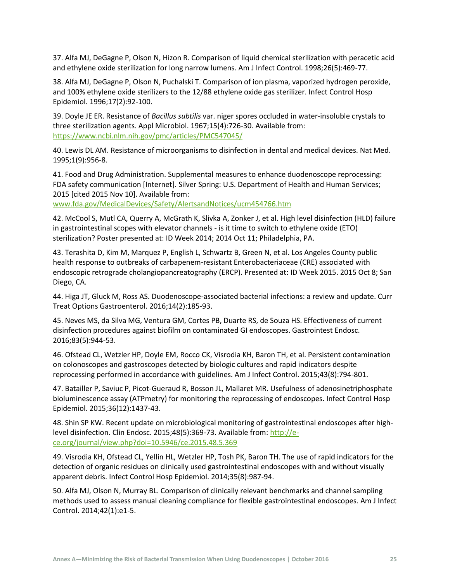37. Alfa MJ, DeGagne P, Olson N, Hizon R. Comparison of liquid chemical sterilization with peracetic acid and ethylene oxide sterilization for long narrow lumens. Am J Infect Control. 1998;26(5):469-77.

38. Alfa MJ, DeGagne P, Olson N, Puchalski T. Comparison of ion plasma, vaporized hydrogen peroxide, and 100% ethylene oxide sterilizers to the 12/88 ethylene oxide gas sterilizer. Infect Control Hosp Epidemiol. 1996;17(2):92-100.

39. Doyle JE ER. Resistance of *Bacillus subtilis* var. niger spores occluded in water-insoluble crystals to three sterilization agents. Appl Microbiol. 1967;15(4):726-30. Available from: <https://www.ncbi.nlm.nih.gov/pmc/articles/PMC547045/>

40. Lewis DL AM. Resistance of microorganisms to disinfection in dental and medical devices. Nat Med. 1995;1(9):956-8.

41. Food and Drug Administration. Supplemental measures to enhance duodenoscope reprocessing: FDA safety communication [Internet]. Silver Spring: U.S. Department of Health and Human Services; 2015 [cited 2015 Nov 10]. Available from: [www.fda.gov/MedicalDevices/Safety/AlertsandNotices/ucm454766.htm](http://www.fda.gov/MedicalDevices/Safety/AlertsandNotices/ucm454766.htm)

42. McCool S, Mutl CA, Querry A, McGrath K, Slivka A, Zonker J, et al. High level disinfection (HLD) failure in gastrointestinal scopes with elevator channels - is it time to switch to ethylene oxide (ETO) sterilization? Poster presented at: ID Week 2014; 2014 Oct 11; Philadelphia, PA.

43. Terashita D, Kim M, Marquez P, English L, Schwartz B, Green N, et al. Los Angeles County public health response to outbreaks of carbapenem-resistant Enterobacteriaceae (CRE) associated with endoscopic retrograde cholangiopancreatography (ERCP). Presented at: ID Week 2015. 2015 Oct 8; San Diego, CA.

44. Higa JT, Gluck M, Ross AS. Duodenoscope-associated bacterial infections: a review and update. Curr Treat Options Gastroenterol. 2016;14(2):185-93.

45. Neves MS, da Silva MG, Ventura GM, Cortes PB, Duarte RS, de Souza HS. Effectiveness of current disinfection procedures against biofilm on contaminated GI endoscopes. Gastrointest Endosc. 2016;83(5):944-53.

46. Ofstead CL, Wetzler HP, Doyle EM, Rocco CK, Visrodia KH, Baron TH, et al. Persistent contamination on colonoscopes and gastroscopes detected by biologic cultures and rapid indicators despite reprocessing performed in accordance with guidelines. Am J Infect Control. 2015;43(8):794-801.

47. Batailler P, Saviuc P, Picot-Gueraud R, Bosson JL, Mallaret MR. Usefulness of adenosinetriphosphate bioluminescence assay (ATPmetry) for monitoring the reprocessing of endoscopes. Infect Control Hosp Epidemiol. 2015;36(12):1437-43.

48. Shin SP KW. Recent update on microbiological monitoring of gastrointestinal endoscopes after highlevel disinfection. Clin Endosc. 2015;48(5):369-73. Available from[: http://e](http://e-ce.org/journal/view.php?doi=10.5946/ce.2015.48.5.369)[ce.org/journal/view.php?doi=10.5946/ce.2015.48.5.369](http://e-ce.org/journal/view.php?doi=10.5946/ce.2015.48.5.369)

49. Visrodia KH, Ofstead CL, Yellin HL, Wetzler HP, Tosh PK, Baron TH. The use of rapid indicators for the detection of organic residues on clinically used gastrointestinal endoscopes with and without visually apparent debris. Infect Control Hosp Epidemiol. 2014;35(8):987-94.

50. Alfa MJ, Olson N, Murray BL. Comparison of clinically relevant benchmarks and channel sampling methods used to assess manual cleaning compliance for flexible gastrointestinal endoscopes. Am J Infect Control. 2014;42(1):e1-5.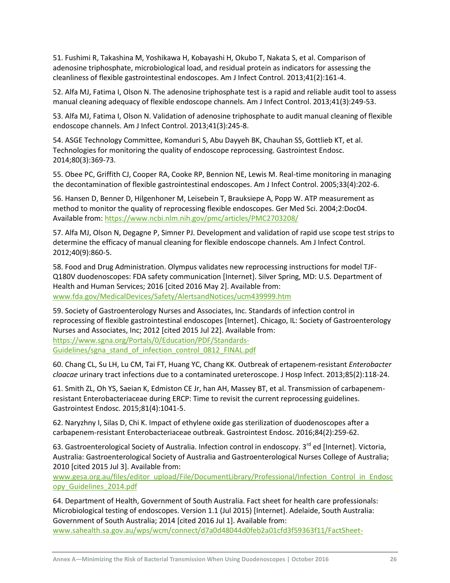51. Fushimi R, Takashina M, Yoshikawa H, Kobayashi H, Okubo T, Nakata S, et al. Comparison of adenosine triphosphate, microbiological load, and residual protein as indicators for assessing the cleanliness of flexible gastrointestinal endoscopes. Am J Infect Control. 2013;41(2):161-4.

52. Alfa MJ, Fatima I, Olson N. The adenosine triphosphate test is a rapid and reliable audit tool to assess manual cleaning adequacy of flexible endoscope channels. Am J Infect Control. 2013;41(3):249-53.

53. Alfa MJ, Fatima I, Olson N. Validation of adenosine triphosphate to audit manual cleaning of flexible endoscope channels. Am J Infect Control. 2013;41(3):245-8.

54. ASGE Technology Committee, Komanduri S, Abu Dayyeh BK, Chauhan SS, Gottlieb KT, et al. Technologies for monitoring the quality of endoscope reprocessing. Gastrointest Endosc. 2014;80(3):369-73.

55. Obee PC, Griffith CJ, Cooper RA, Cooke RP, Bennion NE, Lewis M. Real-time monitoring in managing the decontamination of flexible gastrointestinal endoscopes. Am J Infect Control. 2005;33(4):202-6.

56. Hansen D, Benner D, Hilgenhoner M, Leisebein T, Brauksiepe A, Popp W. ATP measurement as method to monitor the quality of reprocessing flexible endoscopes. Ger Med Sci. 2004;2:Doc04. Available from[: https://www.ncbi.nlm.nih.gov/pmc/articles/PMC2703208/](https://www.ncbi.nlm.nih.gov/pmc/articles/PMC2703208/)

57. Alfa MJ, Olson N, Degagne P, Simner PJ. Development and validation of rapid use scope test strips to determine the efficacy of manual cleaning for flexible endoscope channels. Am J Infect Control. 2012;40(9):860-5.

58. Food and Drug Administration. Olympus validates new reprocessing instructions for model TJF-Q180V duodenoscopes: FDA safety communication [Internet]. Silver Spring, MD: U.S. Department of Health and Human Services; 2016 [cited 2016 May 2]. Available from: [www.fda.gov/MedicalDevices/Safety/AlertsandNotices/ucm439999.htm](http://www.fda.gov/MedicalDevices/Safety/AlertsandNotices/ucm439999.htm)

59. Society of Gastroenterology Nurses and Associates, Inc. Standards of infection control in reprocessing of flexible gastrointestinal endoscopes [Internet]. Chicago, IL: Society of Gastroenterology Nurses and Associates, Inc; 2012 [cited 2015 Jul 22]. Available from: [https://www.sgna.org/Portals/0/Education/PDF/Standards-](https://www.sgna.org/Portals/0/Education/PDF/Standards-Guidelines/sgna_stand_of_infection_control_0812_FINAL.pdf)[Guidelines/sgna\\_stand\\_of\\_infection\\_control\\_0812\\_FINAL.pdf](https://www.sgna.org/Portals/0/Education/PDF/Standards-Guidelines/sgna_stand_of_infection_control_0812_FINAL.pdf)

60. Chang CL, Su LH, Lu CM, Tai FT, Huang YC, Chang KK. Outbreak of ertapenem-resistant *Enterobacter cloacae* urinary tract infections due to a contaminated ureteroscope. J Hosp Infect. 2013;85(2):118-24.

61. Smith ZL, Oh YS, Saeian K, Edmiston CE Jr, han AH, Massey BT, et al. Transmission of carbapenemresistant Enterobacteriaceae during ERCP: Time to revisit the current reprocessing guidelines. Gastrointest Endosc. 2015;81(4):1041-5.

62. Naryzhny I, Silas D, Chi K. Impact of ethylene oxide gas sterilization of duodenoscopes after a carbapenem-resistant Enterobacteriaceae outbreak. Gastrointest Endosc. 2016;84(2):259-62.

63. Gastroenterological Society of Australia. Infection control in endoscopy. 3<sup>rd</sup> ed [Internet]. Victoria. Australia: Gastroenterological Society of Australia and Gastroenterological Nurses College of Australia; 2010 [cited 2015 Jul 3]. Available from:

[www.gesa.org.au/files/editor\\_upload/File/DocumentLibrary/Professional/Infection\\_Control\\_in\\_Endosc](http://www.gesa.org.au/files/editor_upload/File/DocumentLibrary/Professional/Infection_Control_in_Endoscopy_Guidelines_2014.pdf) [opy\\_Guidelines\\_2014.pdf](http://www.gesa.org.au/files/editor_upload/File/DocumentLibrary/Professional/Infection_Control_in_Endoscopy_Guidelines_2014.pdf)

64. Department of Health, Government of South Australia. Fact sheet for health care professionals: Microbiological testing of endoscopes. Version 1.1 (Jul 2015) [Internet]. Adelaide, South Australia: Government of South Australia; 2014 [cited 2016 Jul 1]. Available from: [www.sahealth.sa.gov.au/wps/wcm/connect/d7a0d48044d0feb2a01cfd3f59363f11/FactSheet-](http://www.sahealth.sa.gov.au/wps/wcm/connect/d7a0d48044d0feb2a01cfd3f59363f11/FactSheet-endoscopes-microbiology-testing_V1+-phcs-ics-20140721.pdf?MOD=AJPERES&CACHEID=d7a0d48044d0feb2a01cfd3f59363f11)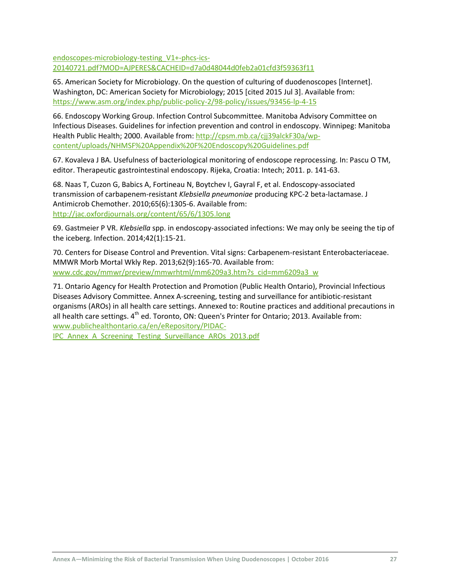[endoscopes-microbiology-testing\\_V1+-phcs-ics-](http://www.sahealth.sa.gov.au/wps/wcm/connect/d7a0d48044d0feb2a01cfd3f59363f11/FactSheet-endoscopes-microbiology-testing_V1+-phcs-ics-20140721.pdf?MOD=AJPERES&CACHEID=d7a0d48044d0feb2a01cfd3f59363f11)[20140721.pdf?MOD=AJPERES&CACHEID=d7a0d48044d0feb2a01cfd3f59363f11](http://www.sahealth.sa.gov.au/wps/wcm/connect/d7a0d48044d0feb2a01cfd3f59363f11/FactSheet-endoscopes-microbiology-testing_V1+-phcs-ics-20140721.pdf?MOD=AJPERES&CACHEID=d7a0d48044d0feb2a01cfd3f59363f11)

65. American Society for Microbiology. On the question of culturing of duodenoscopes [Internet]. Washington, DC: American Society for Microbiology; 2015 [cited 2015 Jul 3]. Available from: <https://www.asm.org/index.php/public-policy-2/98-policy/issues/93456-lp-4-15>

66. Endoscopy Working Group. Infection Control Subcommittee. Manitoba Advisory Committee on Infectious Diseases. Guidelines for infection prevention and control in endoscopy. Winnipeg: Manitoba Health Public Health; 2000. Available from[: http://cpsm.mb.ca/cjj39alckF30a/wp](http://cpsm.mb.ca/cjj39alckF30a/wp-content/uploads/NHMSF%20Appendix%20F%20Endoscopy%20Guidelines.pdf)[content/uploads/NHMSF%20Appendix%20F%20Endoscopy%20Guidelines.pdf](http://cpsm.mb.ca/cjj39alckF30a/wp-content/uploads/NHMSF%20Appendix%20F%20Endoscopy%20Guidelines.pdf)

67. Kovaleva J BA. Usefulness of bacteriological monitoring of endoscope reprocessing. In: Pascu O TM, editor. Therapeutic gastrointestinal endoscopy. Rijeka, Croatia: Intech; 2011. p. 141-63.

68. Naas T, Cuzon G, Babics A, Fortineau N, Boytchev I, Gayral F, et al. Endoscopy-associated transmission of carbapenem-resistant *Klebsiella pneumoniae* producing KPC-2 beta-lactamase. J Antimicrob Chemother. 2010;65(6):1305-6. Available from: <http://jac.oxfordjournals.org/content/65/6/1305.long>

69. Gastmeier P VR. *Klebsiella* spp. in endoscopy-associated infections: We may only be seeing the tip of the iceberg. Infection. 2014;42(1):15-21.

70. Centers for Disease Control and Prevention. Vital signs: Carbapenem-resistant Enterobacteriaceae. MMWR Morb Mortal Wkly Rep. 2013;62(9):165-70. Available from: [www.cdc.gov/mmwr/preview/mmwrhtml/mm6209a3.htm?s\\_cid=mm6209a3\\_w](http://www.cdc.gov/mmwr/preview/mmwrhtml/mm6209a3.htm?s_cid=mm6209a3_w)

71. Ontario Agency for Health Protection and Promotion (Public Health Ontario), Provincial Infectious Diseases Advisory Committee. Annex A-screening, testing and surveillance for antibiotic-resistant organisms (AROs) in all health care settings. Annexed to: Routine practices and additional precautions in all health care settings. 4<sup>th</sup> ed. Toronto, ON: Queen's Printer for Ontario; 2013. Available from: [www.publichealthontario.ca/en/eRepository/PIDAC-](http://www.publichealthontario.ca/en/eRepository/PIDAC-IPC_Annex_A_Screening_Testing_Surveillance_AROs_2013.pdf)

[IPC\\_Annex\\_A\\_Screening\\_Testing\\_Surveillance\\_AROs\\_2013.pdf](http://www.publichealthontario.ca/en/eRepository/PIDAC-IPC_Annex_A_Screening_Testing_Surveillance_AROs_2013.pdf)